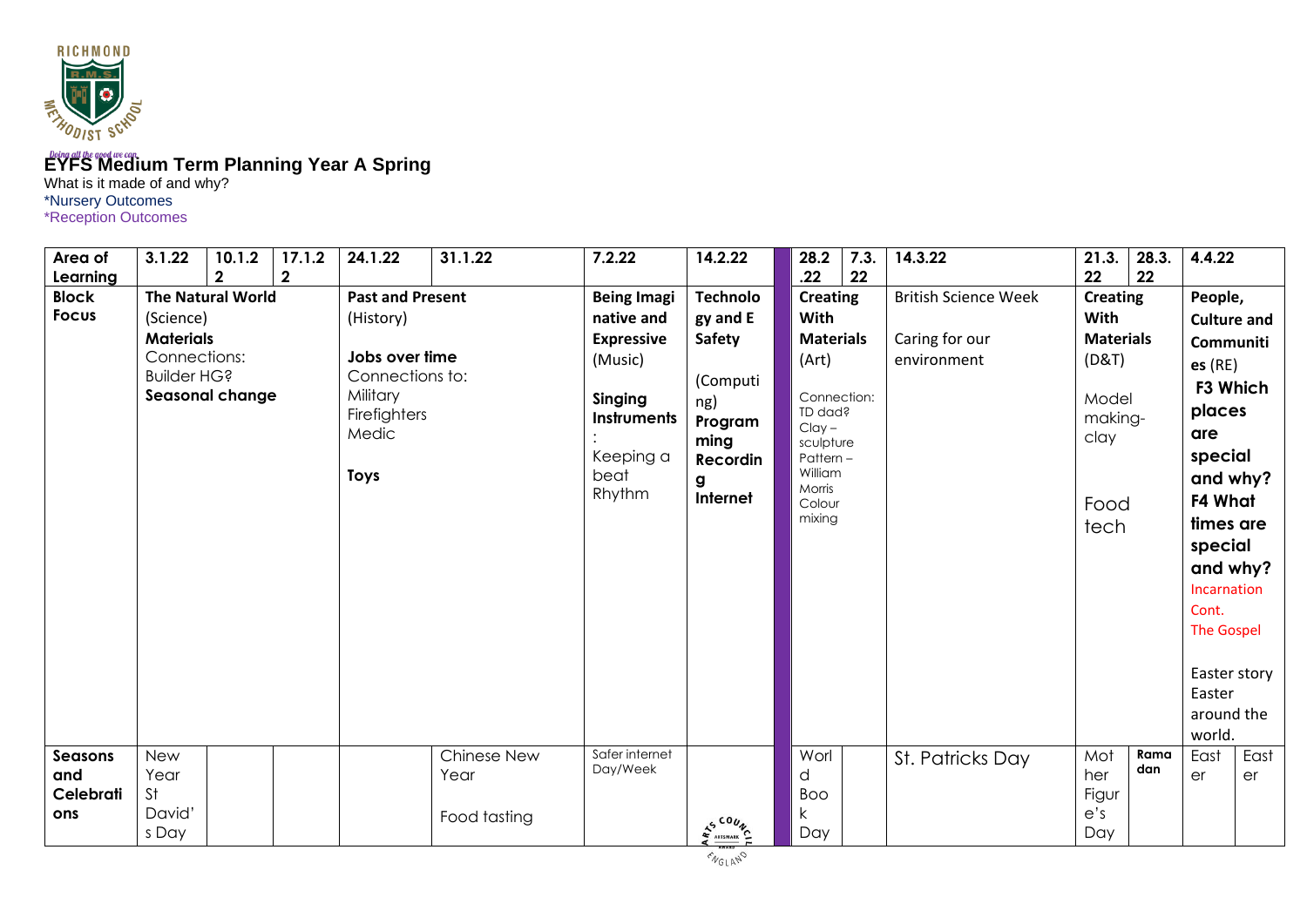

## **EYFS Medium Term Planning Year A Spring**

What is it made of and why? \*Nursery Outcomes \*Reception Outcomes

| Area of<br>Learning                | 3.1.22                                                              | 10.1.2<br>$\overline{2}$                    | 17.1.2<br>$\mathbf{2}$ | 24.1.22                                                                                                                       | 31.1.22                             | 7.2.22                                                                                                                    | 14.2.22                                                                                                         | 28.2<br>.22                                                                                                                                                  | 7.3.<br>22 | 14.3.22                                                      | 21.3.<br>22                                                                                      | 28.3.<br>22 | 4.4.22                                                                                                                                                                                                                                                 |            |
|------------------------------------|---------------------------------------------------------------------|---------------------------------------------|------------------------|-------------------------------------------------------------------------------------------------------------------------------|-------------------------------------|---------------------------------------------------------------------------------------------------------------------------|-----------------------------------------------------------------------------------------------------------------|--------------------------------------------------------------------------------------------------------------------------------------------------------------|------------|--------------------------------------------------------------|--------------------------------------------------------------------------------------------------|-------------|--------------------------------------------------------------------------------------------------------------------------------------------------------------------------------------------------------------------------------------------------------|------------|
| <b>Block</b><br><b>Focus</b>       | (Science)<br><b>Materials</b><br>Connections:<br><b>Builder HG?</b> | <b>The Natural World</b><br>Seasonal change |                        | <b>Past and Present</b><br>(History)<br>Jobs over time<br>Connections to:<br>Military<br>Firefighters<br>Medic<br><b>Toys</b> |                                     | <b>Being Imagi</b><br>native and<br><b>Expressive</b><br>(Music)<br>Singing<br>Instruments<br>Keeping a<br>beat<br>Rhythm | <b>Technolo</b><br>gy and E<br><b>Safety</b><br>(Computi<br>ng)<br>Program<br>ming<br>Recordin<br>g<br>Internet | <b>Creating</b><br>With<br><b>Materials</b><br>(Art)<br>Connection:<br>TD dad?<br>$Clay -$<br>sculpture<br>Pattern-<br>William<br>Morris<br>Colour<br>mixing |            | <b>British Science Week</b><br>Caring for our<br>environment | <b>Creating</b><br>With<br><b>Materials</b><br>(D&T)<br>Model<br>making-<br>clay<br>Food<br>tech |             | People,<br><b>Culture and</b><br>Communiti<br>es(RE)<br>F3 Which<br>places<br>are<br>special<br>and why?<br>F4 What<br>times are<br>special<br>and why?<br>Incarnation<br>Cont.<br><b>The Gospel</b><br>Easter story<br>Easter<br>around the<br>world. |            |
| Seasons<br>and<br>Celebrati<br>ons | <b>New</b><br>Year<br><b>St</b><br>David'<br>s Day                  |                                             |                        |                                                                                                                               | Chinese New<br>Year<br>Food tasting | Safer internet<br>Day/Week                                                                                                | ES COUNS                                                                                                        | Worl<br>d<br><b>Boo</b><br>$\mathsf k$<br>Day                                                                                                                |            | St. Patricks Day                                             | Mot<br>her<br>Figur<br>e's<br>Day                                                                | Rama<br>dan | East<br>er                                                                                                                                                                                                                                             | East<br>er |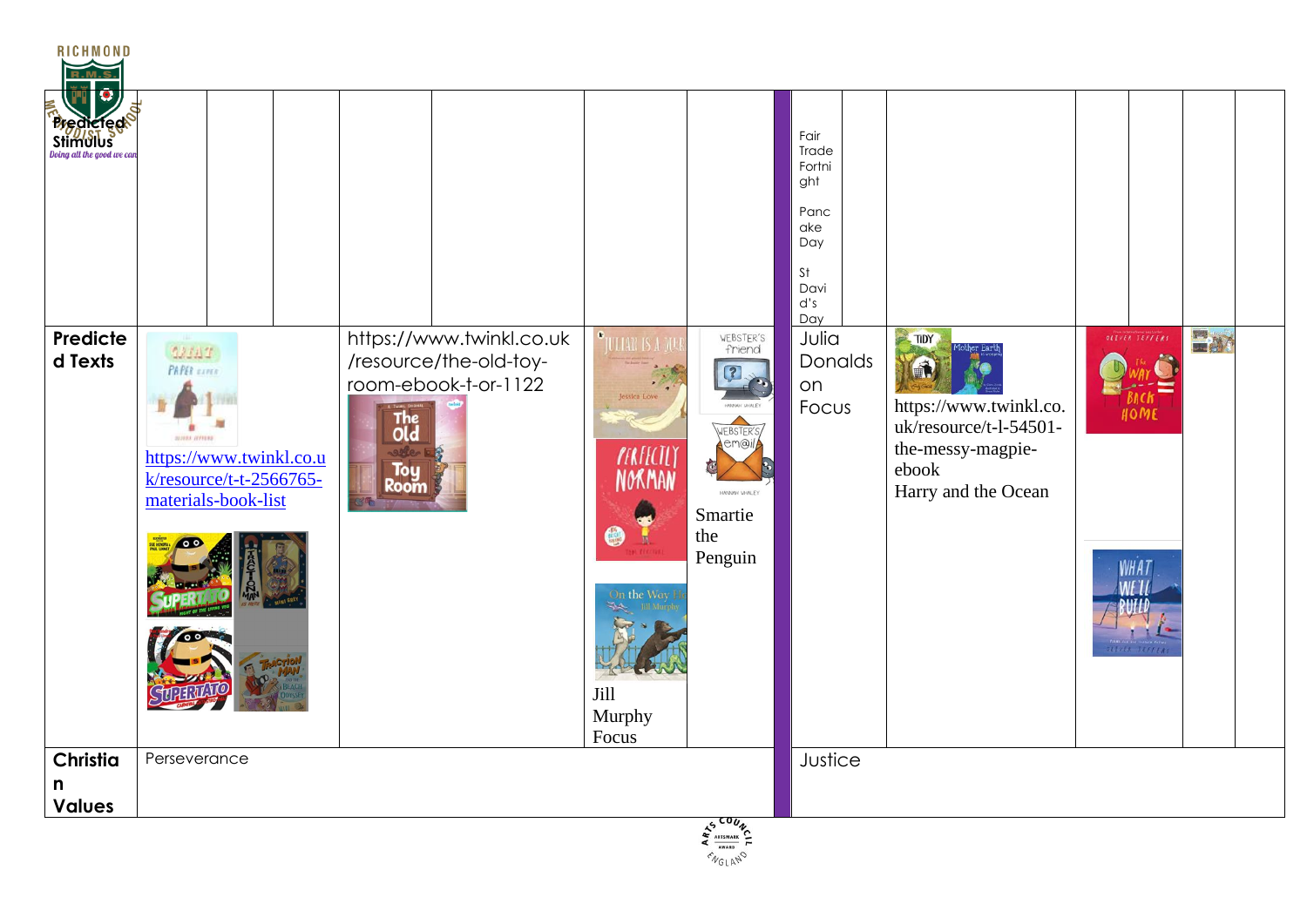| RICHMOND<br><b>Predicted</b>   |                                                                                                                                  |                                                                                                                   |                                                                                                             |                                                                                         | Fair<br>Trade<br>Fortni<br>ght<br>Panc<br>ake<br>Day<br>$\mathsf{S}\mathsf{t}$<br>Davi<br>d's<br>Day |                                                                                                               |                                                             |    |  |
|--------------------------------|----------------------------------------------------------------------------------------------------------------------------------|-------------------------------------------------------------------------------------------------------------------|-------------------------------------------------------------------------------------------------------------|-----------------------------------------------------------------------------------------|------------------------------------------------------------------------------------------------------|---------------------------------------------------------------------------------------------------------------|-------------------------------------------------------------|----|--|
| Predicte<br>d Texts            | 22327<br><b>PAPER</b> EXPER<br><b>BUREA DIFFERE</b><br>https://www.twinkl.co.u<br>k/resource/t-t-2566765-<br>materials-book-list | https://www.twinkl.co.uk<br>/resource/the-old-toy-<br>room-ebook-t-or-1122<br>The<br>Old<br>sele-1<br>Toy<br>Room | <b>OULLAR IS A ME</b><br>essica Love<br><b>FERFECTLY</b><br>NORMAN<br>On the Way<br>Jill<br>Murphy<br>Focus | WEBSTER'S<br>friend<br>WEBSTER'S<br>em@il<br>HANNAH WHALEY<br>Smartie<br>the<br>Penguin | Julia<br>Donalds<br>on<br>Focus                                                                      | TIDY<br>https://www.twinkl.co.<br>uk/resource/t-l-54501-<br>the-messy-magpie-<br>ebook<br>Harry and the Ocean | OLIVER JEFFERS<br>HOME<br>WHA <sub>1</sub><br>OLIVER SEFFER | 四郎 |  |
| Christia<br>n<br><b>Values</b> | Perseverance                                                                                                                     |                                                                                                                   |                                                                                                             |                                                                                         | Justice                                                                                              |                                                                                                               |                                                             |    |  |
|                                |                                                                                                                                  |                                                                                                                   |                                                                                                             | E ARTSWARE COUNCE                                                                       |                                                                                                      |                                                                                                               |                                                             |    |  |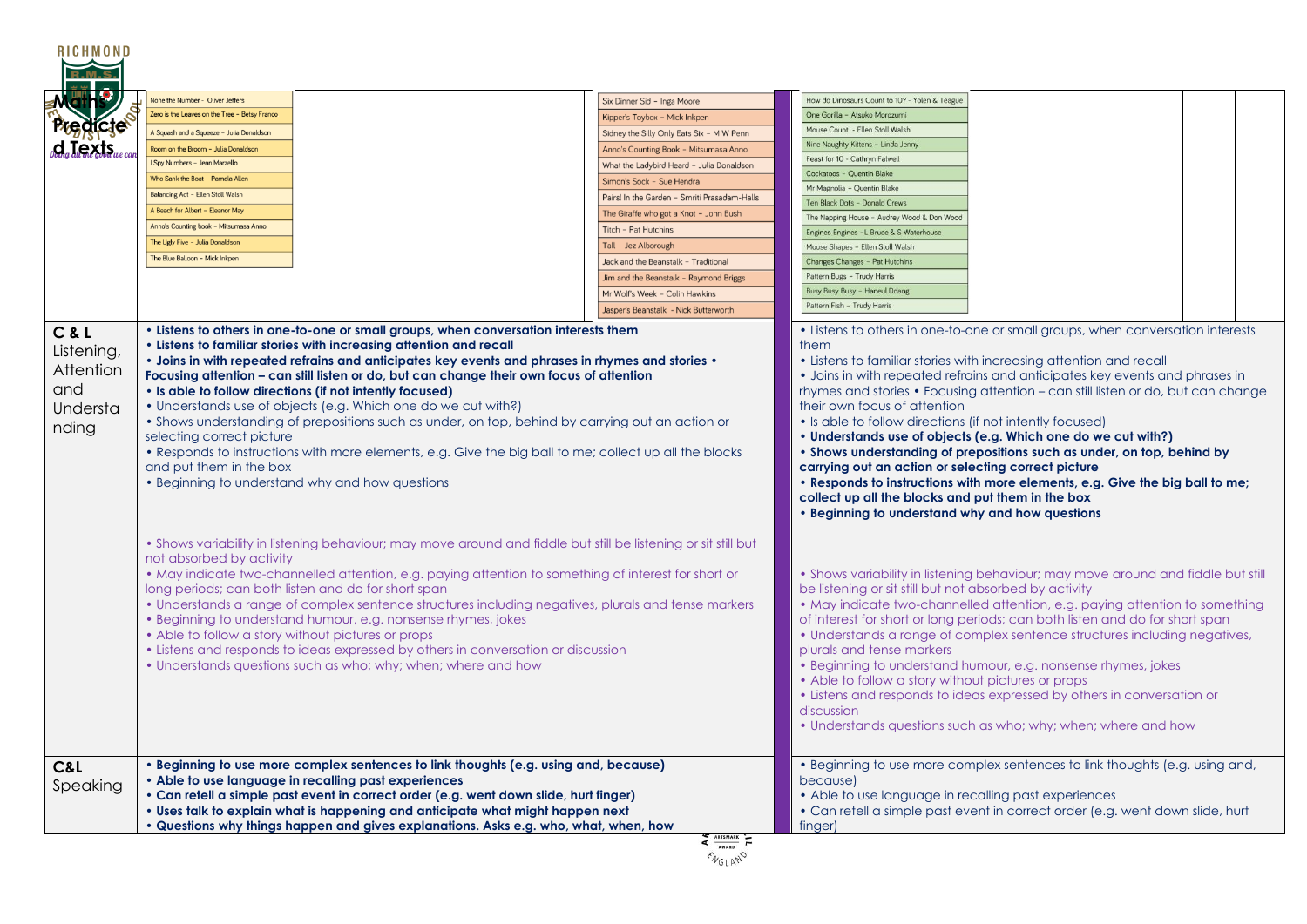| <b>RICHMOND</b>                                              |                                                                                                                                                                                                                                                                                                                                                                                                                                                                                               |                                                                                                                                                                                                                                                                                                                               |                                                                                                                                                                                                                                                                                                                                                                                                                                                                                                                                                                                                                                                                                                                                                                                                                       |  |  |  |
|--------------------------------------------------------------|-----------------------------------------------------------------------------------------------------------------------------------------------------------------------------------------------------------------------------------------------------------------------------------------------------------------------------------------------------------------------------------------------------------------------------------------------------------------------------------------------|-------------------------------------------------------------------------------------------------------------------------------------------------------------------------------------------------------------------------------------------------------------------------------------------------------------------------------|-----------------------------------------------------------------------------------------------------------------------------------------------------------------------------------------------------------------------------------------------------------------------------------------------------------------------------------------------------------------------------------------------------------------------------------------------------------------------------------------------------------------------------------------------------------------------------------------------------------------------------------------------------------------------------------------------------------------------------------------------------------------------------------------------------------------------|--|--|--|
|                                                              | None the Number - Oliver Jeffers                                                                                                                                                                                                                                                                                                                                                                                                                                                              | Six Dinner Sid - Inga Moore                                                                                                                                                                                                                                                                                                   | How do Dinosaurs Count to 10? - Yolen & Teague                                                                                                                                                                                                                                                                                                                                                                                                                                                                                                                                                                                                                                                                                                                                                                        |  |  |  |
|                                                              | Zero is the Leaves on the Tree - Betsy Franco                                                                                                                                                                                                                                                                                                                                                                                                                                                 | Kipper's Toybox - Mick Inkpen                                                                                                                                                                                                                                                                                                 | One Gorilla - Atsuko Morozumi                                                                                                                                                                                                                                                                                                                                                                                                                                                                                                                                                                                                                                                                                                                                                                                         |  |  |  |
| <b>Predicle</b>                                              | A Squash and a Squeeze - Julia Donaldson                                                                                                                                                                                                                                                                                                                                                                                                                                                      | Sidney the Silly Only Eats Six - M W Penn                                                                                                                                                                                                                                                                                     | Mouse Count - Ellen Stoll Walsh                                                                                                                                                                                                                                                                                                                                                                                                                                                                                                                                                                                                                                                                                                                                                                                       |  |  |  |
| $d_a$ <b><i>Jexts</i></b>                                    | Room on the Broom - Julia Donaldsor                                                                                                                                                                                                                                                                                                                                                                                                                                                           | Anno's Counting Book - Mitsumasa Anno                                                                                                                                                                                                                                                                                         | Nine Naughty Kittens - Linda Jenny                                                                                                                                                                                                                                                                                                                                                                                                                                                                                                                                                                                                                                                                                                                                                                                    |  |  |  |
|                                                              | Spy Numbers - Jean Marzello                                                                                                                                                                                                                                                                                                                                                                                                                                                                   | What the Ladybird Heard - Julia Donaldson                                                                                                                                                                                                                                                                                     | Feast for 10 - Cathryn Falwell                                                                                                                                                                                                                                                                                                                                                                                                                                                                                                                                                                                                                                                                                                                                                                                        |  |  |  |
|                                                              | Who Sank the Boat - Pamela Allen                                                                                                                                                                                                                                                                                                                                                                                                                                                              | Simon's Sock - Sue Hendra                                                                                                                                                                                                                                                                                                     | Cockatoos - Quentin Blake                                                                                                                                                                                                                                                                                                                                                                                                                                                                                                                                                                                                                                                                                                                                                                                             |  |  |  |
|                                                              | Balancing Act - Ellen Stoll Walsh                                                                                                                                                                                                                                                                                                                                                                                                                                                             | Pairs! In the Garden - Smriti Prasadam-Halls                                                                                                                                                                                                                                                                                  | Mr Magnolia - Quentin Blake                                                                                                                                                                                                                                                                                                                                                                                                                                                                                                                                                                                                                                                                                                                                                                                           |  |  |  |
|                                                              | A Beach for Albert - Eleanor May                                                                                                                                                                                                                                                                                                                                                                                                                                                              |                                                                                                                                                                                                                                                                                                                               | Ten Black Dots - Donald Crews                                                                                                                                                                                                                                                                                                                                                                                                                                                                                                                                                                                                                                                                                                                                                                                         |  |  |  |
|                                                              | Anno's Counting book - Mitsumasa Anno                                                                                                                                                                                                                                                                                                                                                                                                                                                         | The Giraffe who got a Knot - John Bush                                                                                                                                                                                                                                                                                        | The Napping House - Audrey Wood & Don Wood                                                                                                                                                                                                                                                                                                                                                                                                                                                                                                                                                                                                                                                                                                                                                                            |  |  |  |
|                                                              | The Ugly Five - Julia Donaldson                                                                                                                                                                                                                                                                                                                                                                                                                                                               | Titch - Pat Hutchins                                                                                                                                                                                                                                                                                                          | Engines Engines - L Bruce & S Waterhouse                                                                                                                                                                                                                                                                                                                                                                                                                                                                                                                                                                                                                                                                                                                                                                              |  |  |  |
|                                                              | The Blue Balloon - Mick Inkpen                                                                                                                                                                                                                                                                                                                                                                                                                                                                | Tall - Jez Alborough                                                                                                                                                                                                                                                                                                          | Mouse Shapes - Ellen Stoll Walsh                                                                                                                                                                                                                                                                                                                                                                                                                                                                                                                                                                                                                                                                                                                                                                                      |  |  |  |
|                                                              |                                                                                                                                                                                                                                                                                                                                                                                                                                                                                               | Jack and the Beanstalk - Traditional                                                                                                                                                                                                                                                                                          | Changes Changes - Pat Hutchins                                                                                                                                                                                                                                                                                                                                                                                                                                                                                                                                                                                                                                                                                                                                                                                        |  |  |  |
|                                                              |                                                                                                                                                                                                                                                                                                                                                                                                                                                                                               | Jim and the Beanstalk - Raymond Briggs                                                                                                                                                                                                                                                                                        | Pattern Bugs - Trudy Harris                                                                                                                                                                                                                                                                                                                                                                                                                                                                                                                                                                                                                                                                                                                                                                                           |  |  |  |
|                                                              |                                                                                                                                                                                                                                                                                                                                                                                                                                                                                               | Mr Wolf's Week - Colin Hawkins                                                                                                                                                                                                                                                                                                | Busy Busy Busy - Haneul Ddang                                                                                                                                                                                                                                                                                                                                                                                                                                                                                                                                                                                                                                                                                                                                                                                         |  |  |  |
|                                                              |                                                                                                                                                                                                                                                                                                                                                                                                                                                                                               | Jasper's Beanstalk - Nick Butterworth                                                                                                                                                                                                                                                                                         | Pattern Fish - Trudy Harris                                                                                                                                                                                                                                                                                                                                                                                                                                                                                                                                                                                                                                                                                                                                                                                           |  |  |  |
| C & L<br>Listening,<br>Attention<br>and<br>Understa<br>nding | • Listens to others in one-to-one or small groups, when conversation interests them<br>• Listens to familiar stories with increasing attention and recall<br>Focusing attention – can still listen or do, but can change their own focus of attention<br>• Is able to follow directions (if not intently focused)<br>• Understands use of objects (e.g. Which one do we cut with?)<br>selecting correct picture<br>and put them in the box<br>• Beginning to understand why and how questions | • Joins in with repeated refrains and anticipates key events and phrases in rhymes and stories •<br>• Shows understanding of prepositions such as under, on top, behind by carrying out an action or<br>• Responds to instructions with more elements, e.g. Give the big ball to me; collect up all the blocks                | • Listens to others in one-to-one or small groups, when conversation interests<br>them<br>• Listens to familiar stories with increasing attention and recall<br>• Joins in with repeated refrains and anticipates key events and phrases in<br>rhymes and stories • Focusing attention – can still listen or do, but can change<br>their own focus of attention<br>• Is able to follow directions (if not intently focused)<br>. Understands use of objects (e.g. Which one do we cut with?)<br>• Shows understanding of prepositions such as under, on top, behind by<br>carrying out an action or selecting correct picture<br>. Responds to instructions with more elements, e.g. Give the big ball to me;<br>collect up all the blocks and put them in the box<br>• Beginning to understand why and how questions |  |  |  |
|                                                              | not absorbed by activity<br>long periods; can both listen and do for short span<br>• Beginning to understand humour, e.g. nonsense rhymes, jokes<br>• Able to follow a story without pictures or props<br>• Listens and responds to ideas expressed by others in conversation or discussion<br>• Understands questions such as who; why; when; where and how                                                                                                                                  | • Shows variability in listening behaviour; may move around and fiddle but still be listening or sit still but<br>• May indicate two-channelled attention, e.g. paying attention to something of interest for short or<br>• Understands a range of complex sentence structures including negatives, plurals and tense markers | . Shows variability in listening behaviour; may move around and fiddle but still<br>be listening or sit still but not absorbed by activity<br>• May indicate two-channelled attention, e.g. paying attention to something<br>of interest for short or long periods; can both listen and do for short span<br>• Understands a range of complex sentence structures including negatives,<br>plurals and tense markers<br>• Beginning to understand humour, e.g. nonsense rhymes, jokes<br>• Able to follow a story without pictures or props<br>• Listens and responds to ideas expressed by others in conversation or<br>discussion<br>• Understands questions such as who; why; when; where and how                                                                                                                   |  |  |  |
| C&L<br>Speaking                                              | • Beginning to use more complex sentences to link thoughts (e.g. using and, because)<br>• Able to use language in recalling past experiences<br>• Can retell a simple past event in correct order (e.g. went down slide, hurt finger)<br>• Uses talk to explain what is happening and anticipate what might happen next                                                                                                                                                                       | . Questions why things happen and gives explanations. Asks e.g. who, what, when, how<br>ARTSMARK                                                                                                                                                                                                                              | • Beginning to use more complex sentences to link thoughts (e.g. using and,<br>becausel<br>• Able to use language in recalling past experiences<br>• Can retell a simple past event in correct order (e.g. went down slide, hurt<br>finger)                                                                                                                                                                                                                                                                                                                                                                                                                                                                                                                                                                           |  |  |  |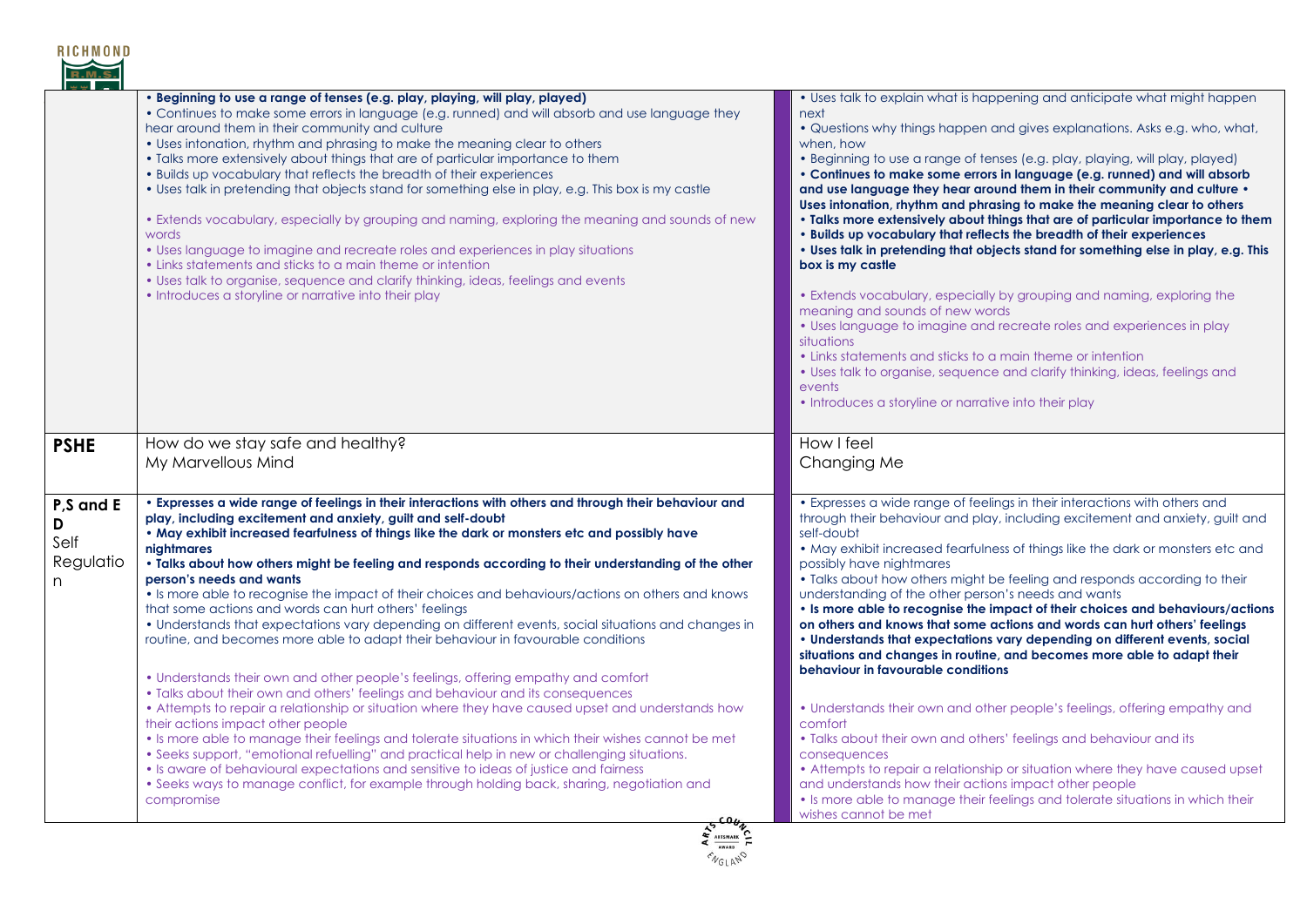

|                                          | . Beginning to use a range of tenses (e.g. play, playing, will play, played)<br>• Continues to make some errors in language (e.g. runned) and will absorb and use language they<br>hear around them in their community and culture<br>• Uses intonation, rhythm and phrasing to make the meaning clear to others<br>. Talks more extensively about things that are of particular importance to them<br>. Builds up vocabulary that reflects the breadth of their experiences<br>. Uses talk in pretending that objects stand for something else in play, e.g. This box is my castle<br>. Extends vocabulary, especially by grouping and naming, exploring the meaning and sounds of new<br>words<br>• Uses language to imagine and recreate roles and experiences in play situations<br>• Links statements and sticks to a main theme or intention<br>• Uses talk to organise, sequence and clarify thinking, ideas, feelings and events<br>• Introduces a storyline or narrative into their play                                                                                                                                                                                                                                                                                                                                                                                                                                                                                                                                    | • Uses talk to explain what is happening and anticipate what might happen<br>next<br>• Questions why things happen and gives explanations. Asks e.g. who, what,<br>when, how<br>• Beginning to use a range of tenses (e.g. play, playing, will play, played)<br>• Continues to make some errors in language (e.g. runned) and will absorb<br>and use language they hear around them in their community and culture .<br>Uses intonation, rhythm and phrasing to make the meaning clear to others<br>. Talks more extensively about things that are of particular importance to them<br>. Builds up vocabulary that reflects the breadth of their experiences<br>. Uses talk in pretending that objects stand for something else in play, e.g. This<br>box is my castle<br>• Extends vocabulary, especially by grouping and naming, exploring the<br>meaning and sounds of new words<br>• Uses language to imagine and recreate roles and experiences in play<br>situations<br>• Links statements and sticks to a main theme or intention<br>• Uses talk to organise, sequence and clarify thinking, ideas, feelings and<br>events<br>• Introduces a storyline or narrative into their play                                   |
|------------------------------------------|--------------------------------------------------------------------------------------------------------------------------------------------------------------------------------------------------------------------------------------------------------------------------------------------------------------------------------------------------------------------------------------------------------------------------------------------------------------------------------------------------------------------------------------------------------------------------------------------------------------------------------------------------------------------------------------------------------------------------------------------------------------------------------------------------------------------------------------------------------------------------------------------------------------------------------------------------------------------------------------------------------------------------------------------------------------------------------------------------------------------------------------------------------------------------------------------------------------------------------------------------------------------------------------------------------------------------------------------------------------------------------------------------------------------------------------------------------------------------------------------------------------------------------------|------------------------------------------------------------------------------------------------------------------------------------------------------------------------------------------------------------------------------------------------------------------------------------------------------------------------------------------------------------------------------------------------------------------------------------------------------------------------------------------------------------------------------------------------------------------------------------------------------------------------------------------------------------------------------------------------------------------------------------------------------------------------------------------------------------------------------------------------------------------------------------------------------------------------------------------------------------------------------------------------------------------------------------------------------------------------------------------------------------------------------------------------------------------------------------------------------------------------------|
| <b>PSHE</b>                              | How do we stay safe and healthy?<br>My Marvellous Mind                                                                                                                                                                                                                                                                                                                                                                                                                                                                                                                                                                                                                                                                                                                                                                                                                                                                                                                                                                                                                                                                                                                                                                                                                                                                                                                                                                                                                                                                               | How I feel<br>Changing Me                                                                                                                                                                                                                                                                                                                                                                                                                                                                                                                                                                                                                                                                                                                                                                                                                                                                                                                                                                                                                                                                                                                                                                                                    |
| P,S and E<br>D<br>Self<br>Regulatio<br>n | . Expresses a wide range of feelings in their interactions with others and through their behaviour and<br>play, including excitement and anxiety, guilt and self-doubt<br>. May exhibit increased fearfulness of things like the dark or monsters etc and possibly have<br>nightmares<br>• Talks about how others might be feeling and responds according to their understanding of the other<br>person's needs and wants<br>• Is more able to recognise the impact of their choices and behaviours/actions on others and knows<br>that some actions and words can hurt others' feelings<br>• Understands that expectations vary depending on different events, social situations and changes in<br>routine, and becomes more able to adapt their behaviour in favourable conditions<br>• Understands their own and other people's feelings, offering empathy and comfort<br>• Talks about their own and others' feelings and behaviour and its consequences<br>• Attempts to repair a relationship or situation where they have caused upset and understands how<br>their actions impact other people<br>. Is more able to manage their feelings and tolerate situations in which their wishes cannot be met<br>• Seeks support, "emotional refuelling" and practical help in new or challenging situations.<br>• Is aware of behavioural expectations and sensitive to ideas of justice and fairness<br>• Seeks ways to manage conflict, for example through holding back, sharing, negotiation and<br>compromise<br>$\frac{1}{2}$ | • Expresses a wide range of feelings in their interactions with others and<br>through their behaviour and play, including excitement and anxiety, guilt and<br>self-doubt<br>. May exhibit increased fearfulness of things like the dark or monsters etc and<br>possibly have nightmares<br>. Talks about how others might be feeling and responds according to their<br>understanding of the other person's needs and wants<br>• Is more able to recognise the impact of their choices and behaviours/actions<br>on others and knows that some actions and words can hurt others' feelings<br>• Understands that expectations vary depending on different events, social<br>situations and changes in routine, and becomes more able to adapt their<br>behaviour in favourable conditions<br>• Understands their own and other people's feelings, offering empathy and<br>comfort<br>• Talks about their own and others' feelings and behaviour and its<br>consequences<br>• Attempts to repair a relationship or situation where they have caused upset<br>and understands how their actions impact other people<br>• Is more able to manage their feelings and tolerate situations in which their<br>wishes cannot be met |

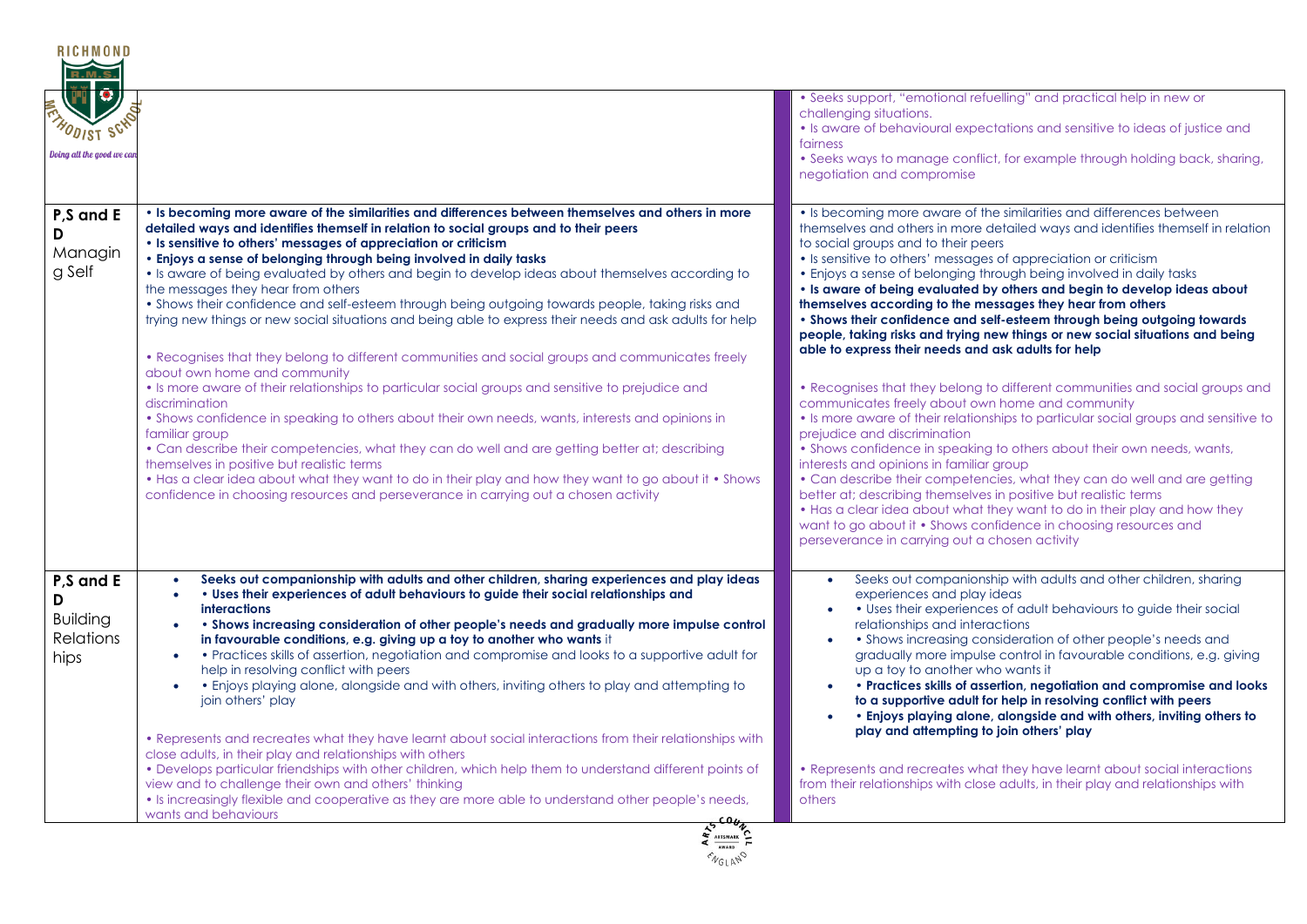

| $\left(\mathbf{r}\right)$<br><b>FRANDIST SCHOOL</b><br>Doing all the good we can |                                                                                                                                                                                                                                                                                                                                                                                                                                                                                                                                                                                                                                                                                                                                                                                                                                                                                                                                                            | • Seeks support, "emotional refuelling" and practical help in new or<br>challenging situations.<br>• Is aware of behavioural expectations and sensitive to ideas of justice and<br>fairness<br>• Seeks ways to manage conflict, for example through holding back, sharing,<br>negotiation and compromise                                                                                                                                                                                                                                                                                                                                                                                                                                                                                                                                  |
|----------------------------------------------------------------------------------|------------------------------------------------------------------------------------------------------------------------------------------------------------------------------------------------------------------------------------------------------------------------------------------------------------------------------------------------------------------------------------------------------------------------------------------------------------------------------------------------------------------------------------------------------------------------------------------------------------------------------------------------------------------------------------------------------------------------------------------------------------------------------------------------------------------------------------------------------------------------------------------------------------------------------------------------------------|-------------------------------------------------------------------------------------------------------------------------------------------------------------------------------------------------------------------------------------------------------------------------------------------------------------------------------------------------------------------------------------------------------------------------------------------------------------------------------------------------------------------------------------------------------------------------------------------------------------------------------------------------------------------------------------------------------------------------------------------------------------------------------------------------------------------------------------------|
| P <sub>,</sub> S and E<br>D<br>Managin<br>g Self                                 | . Is becoming more aware of the similarities and differences between themselves and others in more<br>detailed ways and identifies themself in relation to social groups and to their peers<br>• Is sensitive to others' messages of appreciation or criticism<br>. Enjoys a sense of belonging through being involved in daily tasks<br>. Is aware of being evaluated by others and begin to develop ideas about themselves according to<br>the messages they hear from others<br>. Shows their confidence and self-esteem through being outgoing towards people, taking risks and<br>trying new things or new social situations and being able to express their needs and ask adults for help<br>• Recognises that they belong to different communities and social groups and communicates freely<br>about own home and community<br>• Is more aware of their relationships to particular social groups and sensitive to prejudice and<br>discrimination | • Is becoming more aware of the similarities and differences between<br>themselves and others in more detailed ways and identifies themself in relation<br>to social groups and to their peers<br>• Is sensitive to others' messages of appreciation or criticism<br>• Enjoys a sense of belonging through being involved in daily tasks<br>. Is aware of being evaluated by others and begin to develop ideas about<br>themselves according to the messages they hear from others<br>• Shows their confidence and self-esteem through being outgoing towards<br>people, taking risks and trying new things or new social situations and being<br>able to express their needs and ask adults for help<br>• Recognises that they belong to different communities and social groups and<br>communicates freely about own home and community |
|                                                                                  | • Shows confidence in speaking to others about their own needs, wants, interests and opinions in<br>familiar group<br>• Can describe their competencies, what they can do well and are getting better at; describing<br>themselves in positive but realistic terms<br>. Has a clear idea about what they want to do in their play and how they want to go about it . Shows<br>confidence in choosing resources and perseverance in carrying out a chosen activity                                                                                                                                                                                                                                                                                                                                                                                                                                                                                          | • Is more aware of their relationships to particular social groups and sensitive to<br>prejudice and discrimination<br>• Shows confidence in speaking to others about their own needs, wants,<br>interests and opinions in familiar group<br>• Can describe their competencies, what they can do well and are getting<br>better at; describing themselves in positive but realistic terms<br>• Has a clear idea about what they want to do in their play and how they<br>want to go about it • Shows confidence in choosing resources and<br>perseverance in carrying out a chosen activity                                                                                                                                                                                                                                               |
| P,S and E<br>D<br><b>Building</b><br><b>Relations</b><br>hips                    | Seeks out companionship with adults and other children, sharing experiences and play ideas<br>• Uses their experiences of adult behaviours to guide their social relationships and<br><b>interactions</b><br>• Shows increasing consideration of other people's needs and gradually more impulse control<br>in favourable conditions, e.g. giving up a toy to another who wants it<br>• Practices skills of assertion, negotiation and compromise and looks to a supportive adult for<br>$\bullet$<br>help in resolving conflict with peers<br>• Enjoys playing alone, alongside and with others, inviting others to play and attempting to<br>$\bullet$<br>join others' play<br>• Represents and recreates what they have learnt about social interactions from their relationships with                                                                                                                                                                  | Seeks out companionship with adults and other children, sharing<br>experiences and play ideas<br>• Uses their experiences of adult behaviours to guide their social<br>relationships and interactions<br>• Shows increasing consideration of other people's needs and<br>gradually more impulse control in favourable conditions, e.g. giving<br>up a toy to another who wants it<br>• Practices skills of assertion, negotiation and compromise and looks<br>to a supportive adult for help in resolving conflict with peers<br>• Enjoys playing alone, alongside and with others, inviting others to<br>play and attempting to join others' play                                                                                                                                                                                        |
|                                                                                  | close adults, in their play and relationships with others<br>. Develops particular friendships with other children, which help them to understand different points of<br>view and to challenge their own and others' thinking<br>• Is increasingly flexible and cooperative as they are more able to understand other people's needs,<br>wants and behaviours<br>5500v                                                                                                                                                                                                                                                                                                                                                                                                                                                                                                                                                                                     | • Represents and recreates what they have learnt about social interactions<br>from their relationships with close adults, in their play and relationships with<br>others                                                                                                                                                                                                                                                                                                                                                                                                                                                                                                                                                                                                                                                                  |

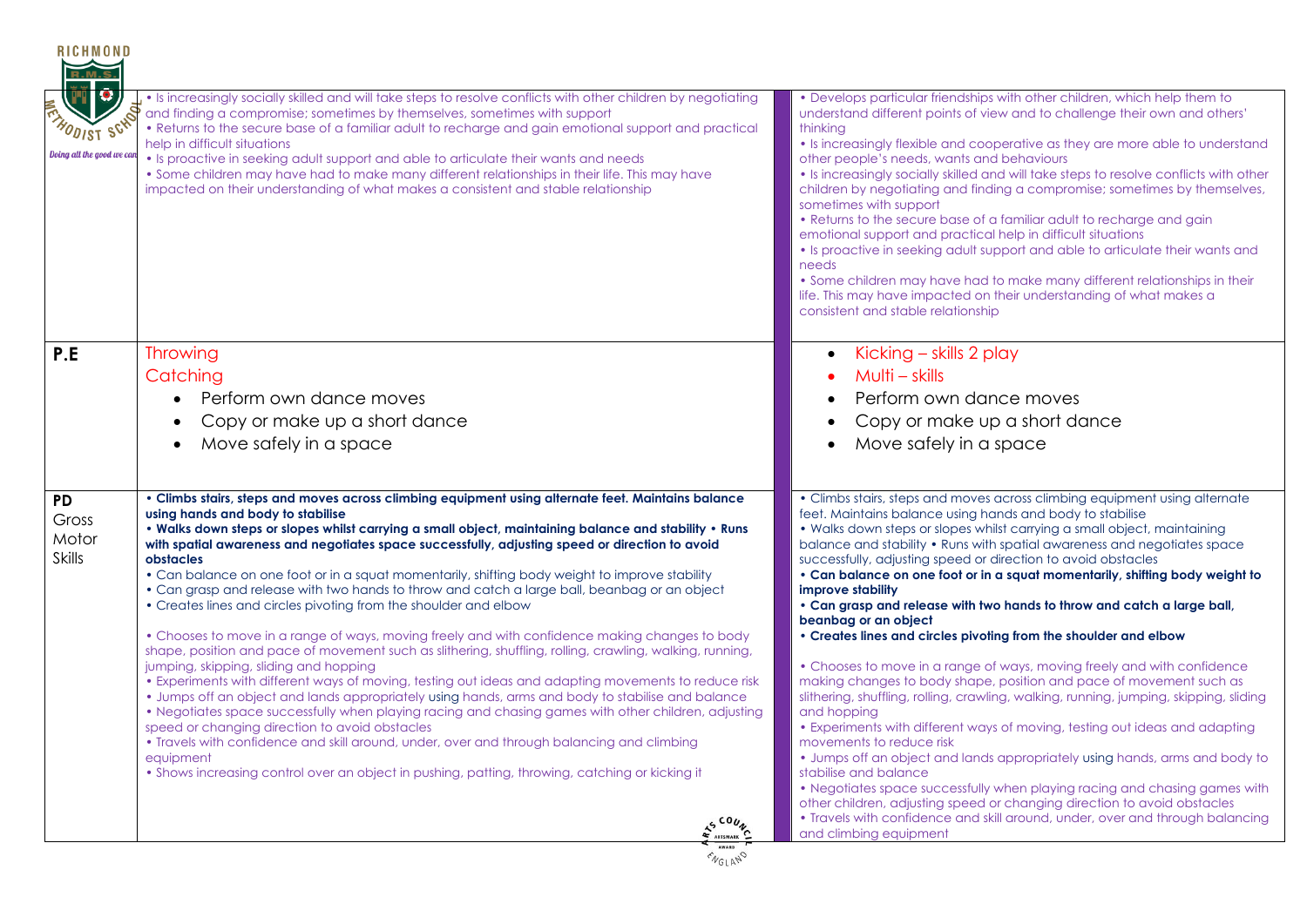| • Develops particular friendships with other children, which help them to<br>understand different points of view and to challenge their own and others'<br>thinking<br>• Is increasingly flexible and cooperative as they are more able to understand<br>other people's needs, wants and behaviours<br>. Is increasingly socially skilled and will take steps to resolve conflicts with other<br>children by negotiating and finding a compromise; sometimes by themselves,<br>sometimes with support<br>• Returns to the secure base of a familiar adult to recharge and gain<br>emotional support and practical help in difficult situations<br>• Is proactive in seeking adult support and able to articulate their wants and<br>needs<br>• Some children may have had to make many different relationships in their<br>life. This may have impacted on their understanding of what makes a<br>consistent and stable relationship                                                                                                                                                                                                                                                                                                                                                                                                                                                            |
|-------------------------------------------------------------------------------------------------------------------------------------------------------------------------------------------------------------------------------------------------------------------------------------------------------------------------------------------------------------------------------------------------------------------------------------------------------------------------------------------------------------------------------------------------------------------------------------------------------------------------------------------------------------------------------------------------------------------------------------------------------------------------------------------------------------------------------------------------------------------------------------------------------------------------------------------------------------------------------------------------------------------------------------------------------------------------------------------------------------------------------------------------------------------------------------------------------------------------------------------------------------------------------------------------------------------------------------------------------------------------------------------------|
| Kicking - skills 2 play<br>$\bullet$<br>Multi – skills<br>Perform own dance moves<br>$\bullet$<br>Copy or make up a short dance<br>Move safely in a space<br>$\bullet$                                                                                                                                                                                                                                                                                                                                                                                                                                                                                                                                                                                                                                                                                                                                                                                                                                                                                                                                                                                                                                                                                                                                                                                                                          |
| • Climbs stairs, steps and moves across climbing equipment using alternate<br>feet. Maintains balance using hands and body to stabilise<br>. Walks down steps or slopes whilst carrying a small object, maintaining<br>balance and stability • Runs with spatial awareness and negotiates space<br>successfully, adjusting speed or direction to avoid obstacles<br>• Can balance on one foot or in a squat momentarily, shifting body weight to<br>improve stability<br>. Can grasp and release with two hands to throw and catch a large ball,<br>beanbag or an object<br>• Creates lines and circles pivoting from the shoulder and elbow<br>• Chooses to move in a range of ways, moving freely and with confidence<br>making changes to body shape, position and pace of movement such as<br>slithering, shuffling, rolling, crawling, walking, running, jumping, skipping, sliding<br>and hopping<br>• Experiments with different ways of moving, testing out ideas and adapting<br>movements to reduce risk<br>• Jumps off an object and lands appropriately using hands, arms and body to<br>stabilise and balance<br>• Negotiates space successfully when playing racing and chasing games with<br>other children, adjusting speed or changing direction to avoid obstacles<br>• Travels with confidence and skill around, under, over and through balancing<br>and climbing equipment |
|                                                                                                                                                                                                                                                                                                                                                                                                                                                                                                                                                                                                                                                                                                                                                                                                                                                                                                                                                                                                                                                                                                                                                                                                                                                                                                                                                                                                 |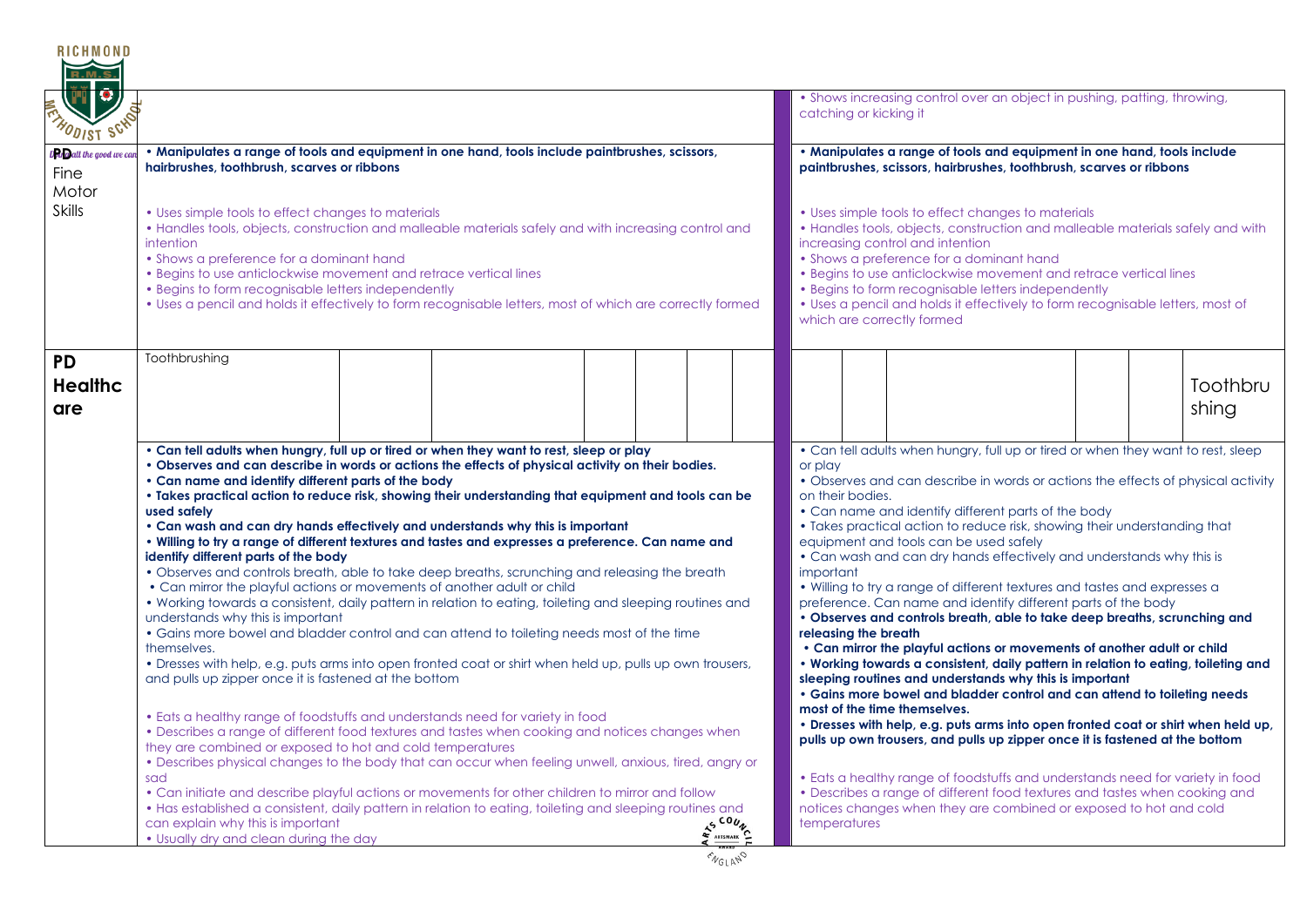| <b>RICHMOND</b>                                        |                                                                                                                                                                                                                                                                                                                                                                                                                                                                                                                                                                                                                                                                                                                                                                                                                                                                                                                                                                                                                                                                                                                                                                                                                                                                                                                                                                                                                                                                                                                                                                                                                                                                                                                                                                                                                                                                                            |  |  |  |                                                                                                                                                                                                                                                                                                                                                                                                                                                                  |         |                                                                                                                                                |                                      |                                          |                                                                                                                                                                                                                                                                                                                                                                                                                                                                                                                                                                                                                                                                                                                                                                                                                                                                                                                                                                                                                                                                                                                                                                                                                                                                                                                                                                                                        |  |  |                   |
|--------------------------------------------------------|--------------------------------------------------------------------------------------------------------------------------------------------------------------------------------------------------------------------------------------------------------------------------------------------------------------------------------------------------------------------------------------------------------------------------------------------------------------------------------------------------------------------------------------------------------------------------------------------------------------------------------------------------------------------------------------------------------------------------------------------------------------------------------------------------------------------------------------------------------------------------------------------------------------------------------------------------------------------------------------------------------------------------------------------------------------------------------------------------------------------------------------------------------------------------------------------------------------------------------------------------------------------------------------------------------------------------------------------------------------------------------------------------------------------------------------------------------------------------------------------------------------------------------------------------------------------------------------------------------------------------------------------------------------------------------------------------------------------------------------------------------------------------------------------------------------------------------------------------------------------------------------------|--|--|--|------------------------------------------------------------------------------------------------------------------------------------------------------------------------------------------------------------------------------------------------------------------------------------------------------------------------------------------------------------------------------------------------------------------------------------------------------------------|---------|------------------------------------------------------------------------------------------------------------------------------------------------|--------------------------------------|------------------------------------------|--------------------------------------------------------------------------------------------------------------------------------------------------------------------------------------------------------------------------------------------------------------------------------------------------------------------------------------------------------------------------------------------------------------------------------------------------------------------------------------------------------------------------------------------------------------------------------------------------------------------------------------------------------------------------------------------------------------------------------------------------------------------------------------------------------------------------------------------------------------------------------------------------------------------------------------------------------------------------------------------------------------------------------------------------------------------------------------------------------------------------------------------------------------------------------------------------------------------------------------------------------------------------------------------------------------------------------------------------------------------------------------------------------|--|--|-------------------|
| 1 O<br><b>HODIST SCHO</b>                              |                                                                                                                                                                                                                                                                                                                                                                                                                                                                                                                                                                                                                                                                                                                                                                                                                                                                                                                                                                                                                                                                                                                                                                                                                                                                                                                                                                                                                                                                                                                                                                                                                                                                                                                                                                                                                                                                                            |  |  |  |                                                                                                                                                                                                                                                                                                                                                                                                                                                                  |         |                                                                                                                                                |                                      | catching or kicking it                   | • Shows increasing control over an object in pushing, patting, throwing,                                                                                                                                                                                                                                                                                                                                                                                                                                                                                                                                                                                                                                                                                                                                                                                                                                                                                                                                                                                                                                                                                                                                                                                                                                                                                                                               |  |  |                   |
| D <mark>en</mark> gall the good we ca<br>Fine<br>Motor | . Manipulates a range of tools and equipment in one hand, tools include paintbrushes, scissors,<br>hairbrushes, toothbrush, scarves or ribbons                                                                                                                                                                                                                                                                                                                                                                                                                                                                                                                                                                                                                                                                                                                                                                                                                                                                                                                                                                                                                                                                                                                                                                                                                                                                                                                                                                                                                                                                                                                                                                                                                                                                                                                                             |  |  |  |                                                                                                                                                                                                                                                                                                                                                                                                                                                                  |         | . Manipulates a range of tools and equipment in one hand, tools include<br>paintbrushes, scissors, hairbrushes, toothbrush, scarves or ribbons |                                      |                                          |                                                                                                                                                                                                                                                                                                                                                                                                                                                                                                                                                                                                                                                                                                                                                                                                                                                                                                                                                                                                                                                                                                                                                                                                                                                                                                                                                                                                        |  |  |                   |
| <b>Skills</b>                                          | • Uses simple tools to effect changes to materials<br>• Handles tools, objects, construction and malleable materials safely and with increasing control and<br>intention<br>• Shows a preference for a dominant hand<br>• Begins to use anticlockwise movement and retrace vertical lines<br>• Begins to form recognisable letters independently<br>• Uses a pencil and holds it effectively to form recognisable letters, most of which are correctly formed                                                                                                                                                                                                                                                                                                                                                                                                                                                                                                                                                                                                                                                                                                                                                                                                                                                                                                                                                                                                                                                                                                                                                                                                                                                                                                                                                                                                                              |  |  |  | • Uses simple tools to effect changes to materials<br>• Handles tools, objects, construction and malleable materials safely and with<br>increasing control and intention<br>• Shows a preference for a dominant hand<br>• Begins to use anticlockwise movement and retrace vertical lines<br>• Begins to form recognisable letters independently<br>• Uses a pencil and holds it effectively to form recognisable letters, most of<br>which are correctly formed |         |                                                                                                                                                |                                      |                                          |                                                                                                                                                                                                                                                                                                                                                                                                                                                                                                                                                                                                                                                                                                                                                                                                                                                                                                                                                                                                                                                                                                                                                                                                                                                                                                                                                                                                        |  |  |                   |
| <b>PD</b><br><b>Healthc</b><br>are                     | Toothbrushing                                                                                                                                                                                                                                                                                                                                                                                                                                                                                                                                                                                                                                                                                                                                                                                                                                                                                                                                                                                                                                                                                                                                                                                                                                                                                                                                                                                                                                                                                                                                                                                                                                                                                                                                                                                                                                                                              |  |  |  |                                                                                                                                                                                                                                                                                                                                                                                                                                                                  |         |                                                                                                                                                |                                      |                                          |                                                                                                                                                                                                                                                                                                                                                                                                                                                                                                                                                                                                                                                                                                                                                                                                                                                                                                                                                                                                                                                                                                                                                                                                                                                                                                                                                                                                        |  |  | Toothbru<br>shing |
|                                                        | . Can tell adults when hungry, full up or tired or when they want to rest, sleep or play<br>. Observes and can describe in words or actions the effects of physical activity on their bodies.<br>• Can name and identify different parts of the body<br>. Takes practical action to reduce risk, showing their understanding that equipment and tools can be<br>used safely<br>• Can wash and can dry hands effectively and understands why this is important<br>. Willing to try a range of different textures and tastes and expresses a preference. Can name and<br>identify different parts of the body<br>• Observes and controls breath, able to take deep breaths, scrunching and releasing the breath<br>• Can mirror the playful actions or movements of another adult or child<br>. Working towards a consistent, daily pattern in relation to eating, toileting and sleeping routines and<br>understands why this is important<br>• Gains more bowel and bladder control and can attend to toileting needs most of the time<br>themselves.<br>• Dresses with help, e.g. puts arms into open fronted coat or shirt when held up, pulls up own trousers,<br>and pulls up zipper once it is fastened at the bottom<br>• Eats a healthy range of foodstuffs and understands need for variety in food<br>• Describes a range of different food textures and tastes when cooking and notices changes when<br>they are combined or exposed to hot and cold temperatures<br>• Describes physical changes to the body that can occur when feeling unwell, anxious, tired, angry or<br>sad<br>• Can initiate and describe playful actions or movements for other children to mirror and follow<br>• Has established a consistent, daily pattern in relation to eating, toileting and sleeping routines and<br>can explain why this is important<br>. Usually dry and clean during the day |  |  |  |                                                                                                                                                                                                                                                                                                                                                                                                                                                                  | AS COUN |                                                                                                                                                | or play<br>important<br>temperatures | on their bodies.<br>releasing the breath | • Can tell adults when hungry, full up or tired or when they want to rest, sleep<br>• Observes and can describe in words or actions the effects of physical activity<br>• Can name and identify different parts of the body<br>• Takes practical action to reduce risk, showing their understanding that<br>equipment and tools can be used safely<br>• Can wash and can dry hands effectively and understands why this is<br>. Willing to try a range of different textures and tastes and expresses a<br>preference. Can name and identify different parts of the body<br>. Observes and controls breath, able to take deep breaths, scrunching and<br>• Can mirror the playful actions or movements of another adult or child<br>. Working towards a consistent, daily pattern in relation to eating, toileting and<br>sleeping routines and understands why this is important<br>• Gains more bowel and bladder control and can attend to toileting needs<br>most of the time themselves.<br>. Dresses with help, e.g. puts arms into open fronted coat or shirt when held up,<br>pulls up own trousers, and pulls up zipper once it is fastened at the bottom<br>• Eats a healthy range of foodstuffs and understands need for variety in food<br>• Describes a range of different food textures and tastes when cooking and<br>notices changes when they are combined or exposed to hot and cold |  |  |                   |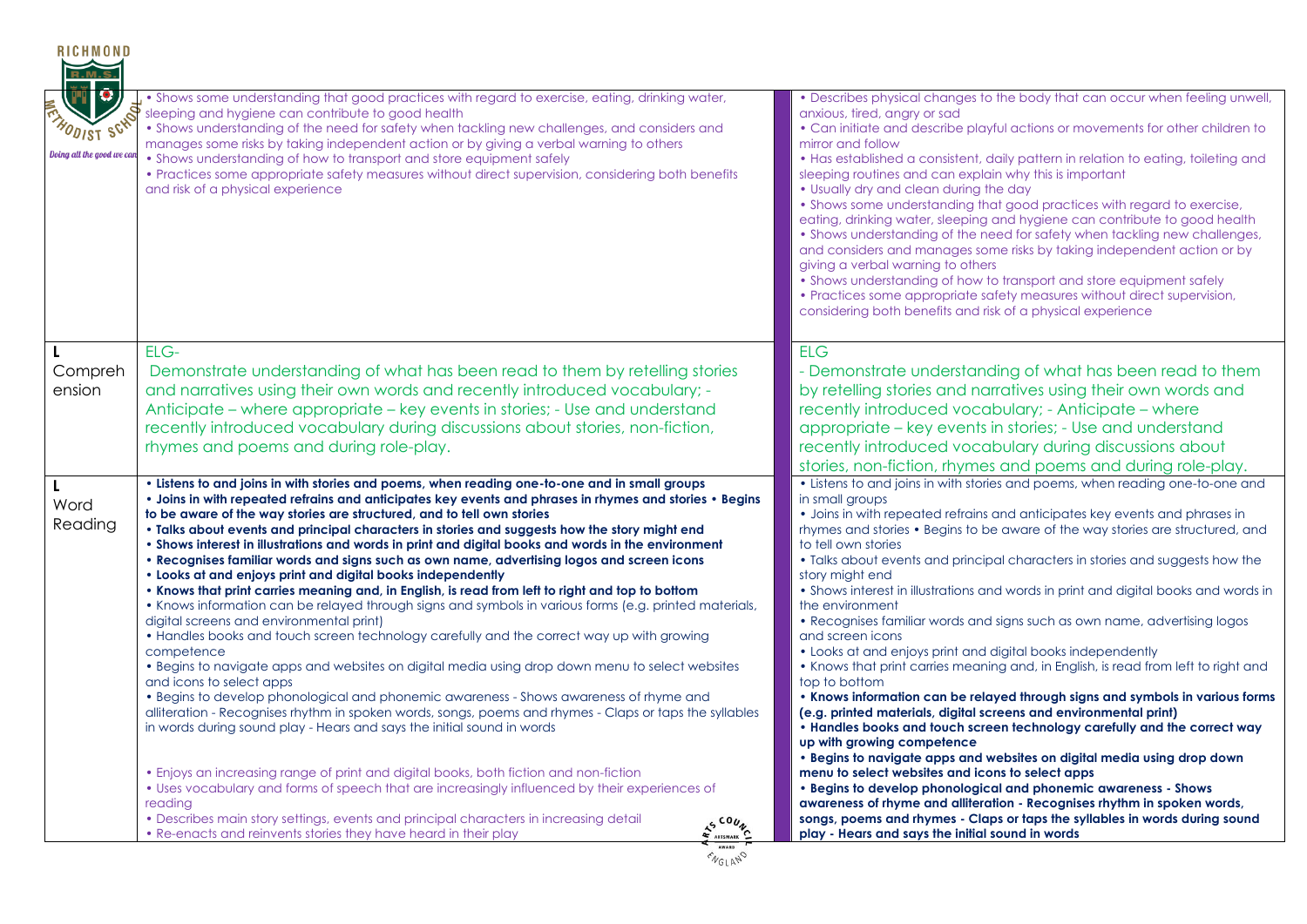| <b>RICHMOND</b><br>$\blacksquare$<br><b>ENADDIST SCHN</b><br>Doing all the good we can | . Shows some understanding that good practices with regard to exercise, eating, drinking water,<br>sleeping and hygiene can contribute to good health<br>. Shows understanding of the need for safety when tackling new challenges, and considers and<br>manages some risks by taking independent action or by giving a verbal warning to others<br>• Shows understanding of how to transport and store equipment safely<br>• Practices some appropriate safety measures without direct supervision, considering both benefits<br>and risk of a physical experience                                                                                                                                                                                                                                                                                                                                                                                                                                                                                                                                                                                                                                                                                                                                                                                                                                                                                                                                                                                                                                                                                                                                                                                                                                                                                | • Describes physical changes to the body that can occur when feeling unwell,<br>anxious, tired, angry or sad<br>• Can initiate and describe playful actions or movements for other children to<br>mirror and follow<br>• Has established a consistent, daily pattern in relation to eating, toileting and<br>sleeping routines and can explain why this is important<br>• Usually dry and clean during the day<br>. Shows some understanding that good practices with regard to exercise,<br>eating, drinking water, sleeping and hygiene can contribute to good health<br>• Shows understanding of the need for safety when tackling new challenges,<br>and considers and manages some risks by taking independent action or by<br>giving a verbal warning to others                                                                                                                                                                                                                                                                                                                                                                                                                                                                                                                                                                                                                                                                                           |
|----------------------------------------------------------------------------------------|----------------------------------------------------------------------------------------------------------------------------------------------------------------------------------------------------------------------------------------------------------------------------------------------------------------------------------------------------------------------------------------------------------------------------------------------------------------------------------------------------------------------------------------------------------------------------------------------------------------------------------------------------------------------------------------------------------------------------------------------------------------------------------------------------------------------------------------------------------------------------------------------------------------------------------------------------------------------------------------------------------------------------------------------------------------------------------------------------------------------------------------------------------------------------------------------------------------------------------------------------------------------------------------------------------------------------------------------------------------------------------------------------------------------------------------------------------------------------------------------------------------------------------------------------------------------------------------------------------------------------------------------------------------------------------------------------------------------------------------------------------------------------------------------------------------------------------------------------|-----------------------------------------------------------------------------------------------------------------------------------------------------------------------------------------------------------------------------------------------------------------------------------------------------------------------------------------------------------------------------------------------------------------------------------------------------------------------------------------------------------------------------------------------------------------------------------------------------------------------------------------------------------------------------------------------------------------------------------------------------------------------------------------------------------------------------------------------------------------------------------------------------------------------------------------------------------------------------------------------------------------------------------------------------------------------------------------------------------------------------------------------------------------------------------------------------------------------------------------------------------------------------------------------------------------------------------------------------------------------------------------------------------------------------------------------------------------|
|                                                                                        |                                                                                                                                                                                                                                                                                                                                                                                                                                                                                                                                                                                                                                                                                                                                                                                                                                                                                                                                                                                                                                                                                                                                                                                                                                                                                                                                                                                                                                                                                                                                                                                                                                                                                                                                                                                                                                                    | • Shows understanding of how to transport and store equipment safely<br>• Practices some appropriate safety measures without direct supervision,<br>considering both benefits and risk of a physical experience                                                                                                                                                                                                                                                                                                                                                                                                                                                                                                                                                                                                                                                                                                                                                                                                                                                                                                                                                                                                                                                                                                                                                                                                                                                 |
| Compreh<br>ension                                                                      | ELG-<br>Demonstrate understanding of what has been read to them by retelling stories<br>and narratives using their own words and recently introduced vocabulary; -<br>Anticipate – where appropriate – key events in stories; - Use and understand<br>recently introduced vocabulary during discussions about stories, non-fiction,<br>rhymes and poems and during role-play.                                                                                                                                                                                                                                                                                                                                                                                                                                                                                                                                                                                                                                                                                                                                                                                                                                                                                                                                                                                                                                                                                                                                                                                                                                                                                                                                                                                                                                                                      | <b>ELG</b><br>- Demonstrate understanding of what has been read to them<br>by retelling stories and narratives using their own words and<br>recently introduced vocabulary; - Anticipate - where<br>appropriate – key events in stories; - Use and understand<br>recently introduced vocabulary during discussions about<br>stories, non-fiction, rhymes and poems and during role-play.                                                                                                                                                                                                                                                                                                                                                                                                                                                                                                                                                                                                                                                                                                                                                                                                                                                                                                                                                                                                                                                                        |
| <b>L</b><br>Word<br>Reading                                                            | . Listens to and joins in with stories and poems, when reading one-to-one and in small groups<br>. Joins in with repeated refrains and anticipates key events and phrases in rhymes and stories . Begins<br>to be aware of the way stories are structured, and to tell own stories<br>. Talks about events and principal characters in stories and suggests how the story might end<br>. Shows interest in illustrations and words in print and digital books and words in the environment<br>• Recognises familiar words and signs such as own name, advertising logos and screen icons<br>. Looks at and enjoys print and digital books independently<br>. Knows that print carries meaning and, in English, is read from left to right and top to bottom<br>• Knows information can be relayed through signs and symbols in various forms (e.g. printed materials,<br>digital screens and environmental print)<br>. Handles books and touch screen technology carefully and the correct way up with growing<br>competence<br>• Begins to navigate apps and websites on digital media using drop down menu to select websites<br>and icons to select apps<br>• Begins to develop phonological and phonemic awareness - Shows awareness of rhyme and<br>alliteration - Recognises rhythm in spoken words, songs, poems and rhymes - Claps or taps the syllables<br>in words during sound play - Hears and says the initial sound in words<br>• Enjoys an increasing range of print and digital books, both fiction and non-fiction<br>• Uses vocabulary and forms of speech that are increasingly influenced by their experiences of<br>reading<br>• Describes main story settings, events and principal characters in increasing detail<br>AS COUN<br>• Re-enacts and reinvents stories they have heard in their play<br>AWARD<br><b>ENGLAND</b> | • Listens to and joins in with stories and poems, when reading one-to-one and<br>in small groups<br>• Joins in with repeated refrains and anticipates key events and phrases in<br>rhymes and stories • Begins to be aware of the way stories are structured, and<br>to tell own stories<br>. Talks about events and principal characters in stories and suggests how the<br>story might end<br>• Shows interest in illustrations and words in print and digital books and words in<br>the environment<br>. Recognises familiar words and signs such as own name, advertising logos<br>and screen icons<br>• Looks at and enjoys print and digital books independently<br>• Knows that print carries meaning and, in English, is read from left to right and<br>top to bottom<br>. Knows information can be relayed through signs and symbols in various forms<br>(e.g. printed materials, digital screens and environmental print)<br>. Handles books and touch screen technology carefully and the correct way<br>up with growing competence<br>. Begins to navigate apps and websites on digital media using drop down<br>menu to select websites and icons to select apps<br>• Begins to develop phonological and phonemic awareness - Shows<br>awareness of rhyme and alliteration - Recognises rhythm in spoken words,<br>songs, poems and rhymes - Claps or taps the syllables in words during sound<br>play - Hears and says the initial sound in words |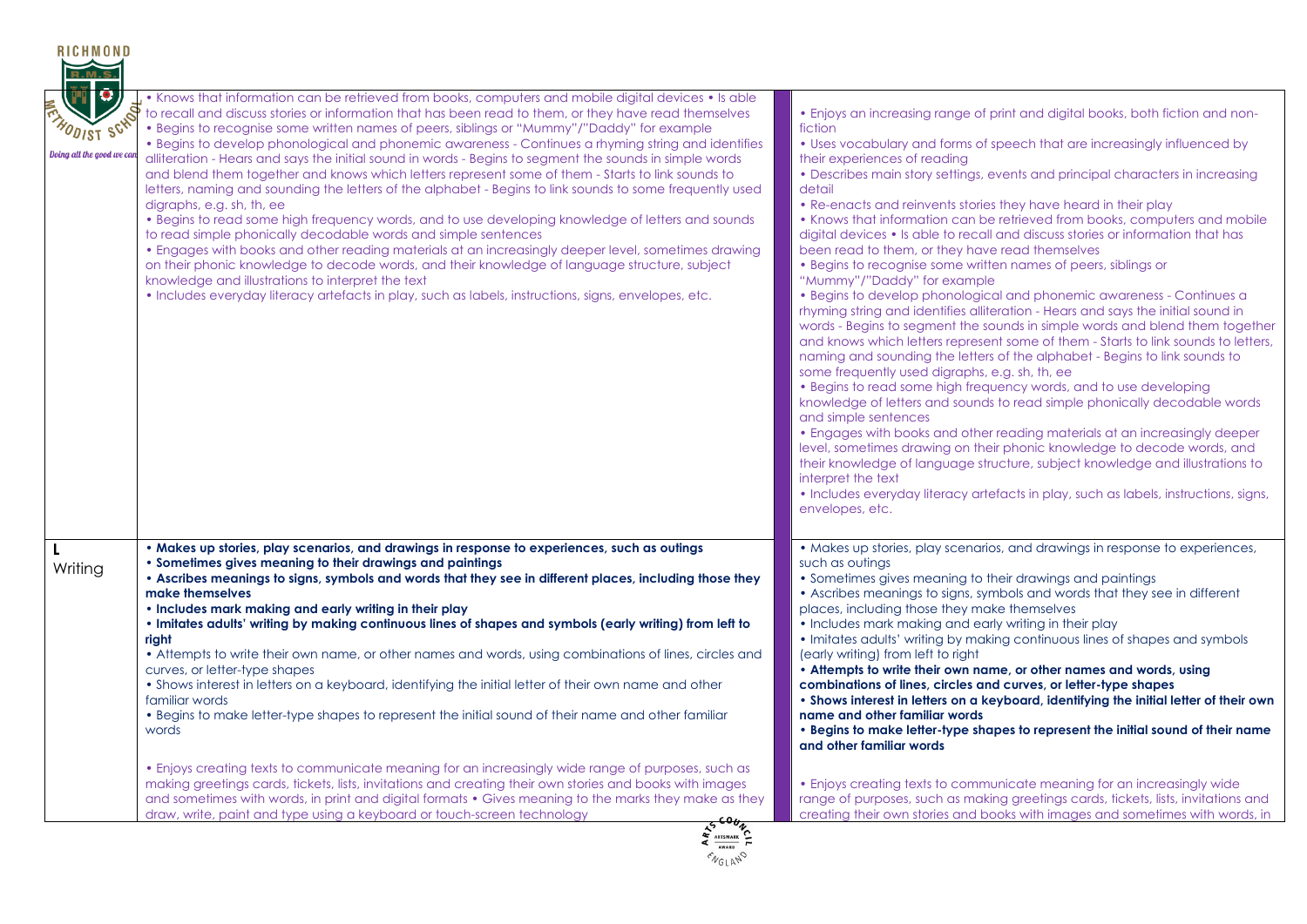| R.M.S                                                         |                                                                                                                                                                                                                                                                                                                                                                                                                                                                                                                                                                                                                                                                                                                                                                                                                                                                                                                                                                                                                                                                                                                                                                                                                                                                                                                         |                                                                                                                                                                                                                                                                                                                                                                                                                                                                                                                                                                                                                                                                                                                                                                                                                                                                                                                                                                                                                                                                                                                                                                                                                                                                                                                                                                                                                                                                                                                                                                                                                                                                                                                    |
|---------------------------------------------------------------|-------------------------------------------------------------------------------------------------------------------------------------------------------------------------------------------------------------------------------------------------------------------------------------------------------------------------------------------------------------------------------------------------------------------------------------------------------------------------------------------------------------------------------------------------------------------------------------------------------------------------------------------------------------------------------------------------------------------------------------------------------------------------------------------------------------------------------------------------------------------------------------------------------------------------------------------------------------------------------------------------------------------------------------------------------------------------------------------------------------------------------------------------------------------------------------------------------------------------------------------------------------------------------------------------------------------------|--------------------------------------------------------------------------------------------------------------------------------------------------------------------------------------------------------------------------------------------------------------------------------------------------------------------------------------------------------------------------------------------------------------------------------------------------------------------------------------------------------------------------------------------------------------------------------------------------------------------------------------------------------------------------------------------------------------------------------------------------------------------------------------------------------------------------------------------------------------------------------------------------------------------------------------------------------------------------------------------------------------------------------------------------------------------------------------------------------------------------------------------------------------------------------------------------------------------------------------------------------------------------------------------------------------------------------------------------------------------------------------------------------------------------------------------------------------------------------------------------------------------------------------------------------------------------------------------------------------------------------------------------------------------------------------------------------------------|
| <b>HODIST SCHT</b><br>Doing all the good we ca <mark>r</mark> | • Knows that information can be retrieved from books, computers and mobile digital devices • Is able<br>to recall and discuss stories or information that has been read to them, or they have read themselves<br>• Begins to recognise some written names of peers, siblings or "Mummy"/"Daddy" for example<br>• Begins to develop phonological and phonemic awareness - Continues a rhyming string and identifies<br>alliteration - Hears and says the initial sound in words - Begins to segment the sounds in simple words<br>and blend them together and knows which letters represent some of them - Starts to link sounds to<br>letters, naming and sounding the letters of the alphabet - Begins to link sounds to some frequently used<br>digraphs, e.g. sh, th, ee<br>. Begins to read some high frequency words, and to use developing knowledge of letters and sounds<br>to read simple phonically decodable words and simple sentences<br>• Engages with books and other reading materials at an increasingly deeper level, sometimes drawing<br>on their phonic knowledge to decode words, and their knowledge of language structure, subject<br>knowledge and illustrations to interpret the text<br>• Includes everyday literacy artefacts in play, such as labels, instructions, signs, envelopes, etc. | • Enjoys an increasing range of print and digital books, both fiction and non-<br>fiction<br>• Uses vocabulary and forms of speech that are increasingly influenced by<br>their experiences of reading<br>• Describes main story settings, events and principal characters in increasing<br>detail<br>• Re-enacts and reinvents stories they have heard in their play<br>• Knows that information can be retrieved from books, computers and mobile<br>digital devices • Is able to recall and discuss stories or information that has<br>been read to them, or they have read themselves<br>• Begins to recognise some written names of peers, siblings or<br>"Mummy"/"Daddy" for example<br>• Begins to develop phonological and phonemic awareness - Continues a<br>rhyming string and identifies alliteration - Hears and says the initial sound in<br>words - Begins to segment the sounds in simple words and blend them together<br>and knows which letters represent some of them - Starts to link sounds to letters,<br>naming and sounding the letters of the alphabet - Begins to link sounds to<br>some frequently used digraphs, e.g. sh, th, ee<br>• Begins to read some high frequency words, and to use developing<br>knowledge of letters and sounds to read simple phonically decodable words<br>and simple sentences<br>• Engages with books and other reading materials at an increasingly deeper<br>level, sometimes drawing on their phonic knowledge to decode words, and<br>their knowledge of language structure, subject knowledge and illustrations to<br>interpret the text<br>• Includes everyday literacy artefacts in play, such as labels, instructions, signs,<br>envelopes, etc. |
| L<br>Writing                                                  | . Makes up stories, play scenarios, and drawings in response to experiences, such as outings<br>• Sometimes gives meaning to their drawings and paintings<br>• Ascribes meanings to signs, symbols and words that they see in different places, including those they<br>make themselves<br>• Includes mark making and early writing in their play<br>• Imitates adults' writing by making continuous lines of shapes and symbols (early writing) from left to<br>right<br>• Attempts to write their own name, or other names and words, using combinations of lines, circles and<br>curves, or letter-type shapes<br>. Shows interest in letters on a keyboard, identifying the initial letter of their own name and other<br>familiar words<br>. Begins to make letter-type shapes to represent the initial sound of their name and other familiar<br>words                                                                                                                                                                                                                                                                                                                                                                                                                                                            | • Makes up stories, play scenarios, and drawings in response to experiences,<br>such as outings<br>• Sometimes gives meaning to their drawings and paintings<br>• Ascribes meanings to signs, symbols and words that they see in different<br>places, including those they make themselves<br>• Includes mark making and early writing in their play<br>. Imitates adults' writing by making continuous lines of shapes and symbols<br>(early writing) from left to right<br>• Attempts to write their own name, or other names and words, using<br>combinations of lines, circles and curves, or letter-type shapes<br>. Shows interest in letters on a keyboard, identifying the initial letter of their own<br>name and other familiar words<br>. Begins to make letter-type shapes to represent the initial sound of their name<br>and other familiar words                                                                                                                                                                                                                                                                                                                                                                                                                                                                                                                                                                                                                                                                                                                                                                                                                                                    |
|                                                               | • Enjoys creating texts to communicate meaning for an increasingly wide range of purposes, such as<br>making greetings cards, tickets, lists, invitations and creating their own stories and books with images<br>and sometimes with words, in print and digital formats • Gives meaning to the marks they make as they<br>draw, write, paint and type using a keyboard or touch-screen technology<br>5600                                                                                                                                                                                                                                                                                                                                                                                                                                                                                                                                                                                                                                                                                                                                                                                                                                                                                                              | • Enjoys creating texts to communicate meaning for an increasingly wide<br>range of purposes, such as making greetings cards, tickets, lists, invitations and<br>creating their own stories and books with images and sometimes with words, in                                                                                                                                                                                                                                                                                                                                                                                                                                                                                                                                                                                                                                                                                                                                                                                                                                                                                                                                                                                                                                                                                                                                                                                                                                                                                                                                                                                                                                                                     |

RICHMOND

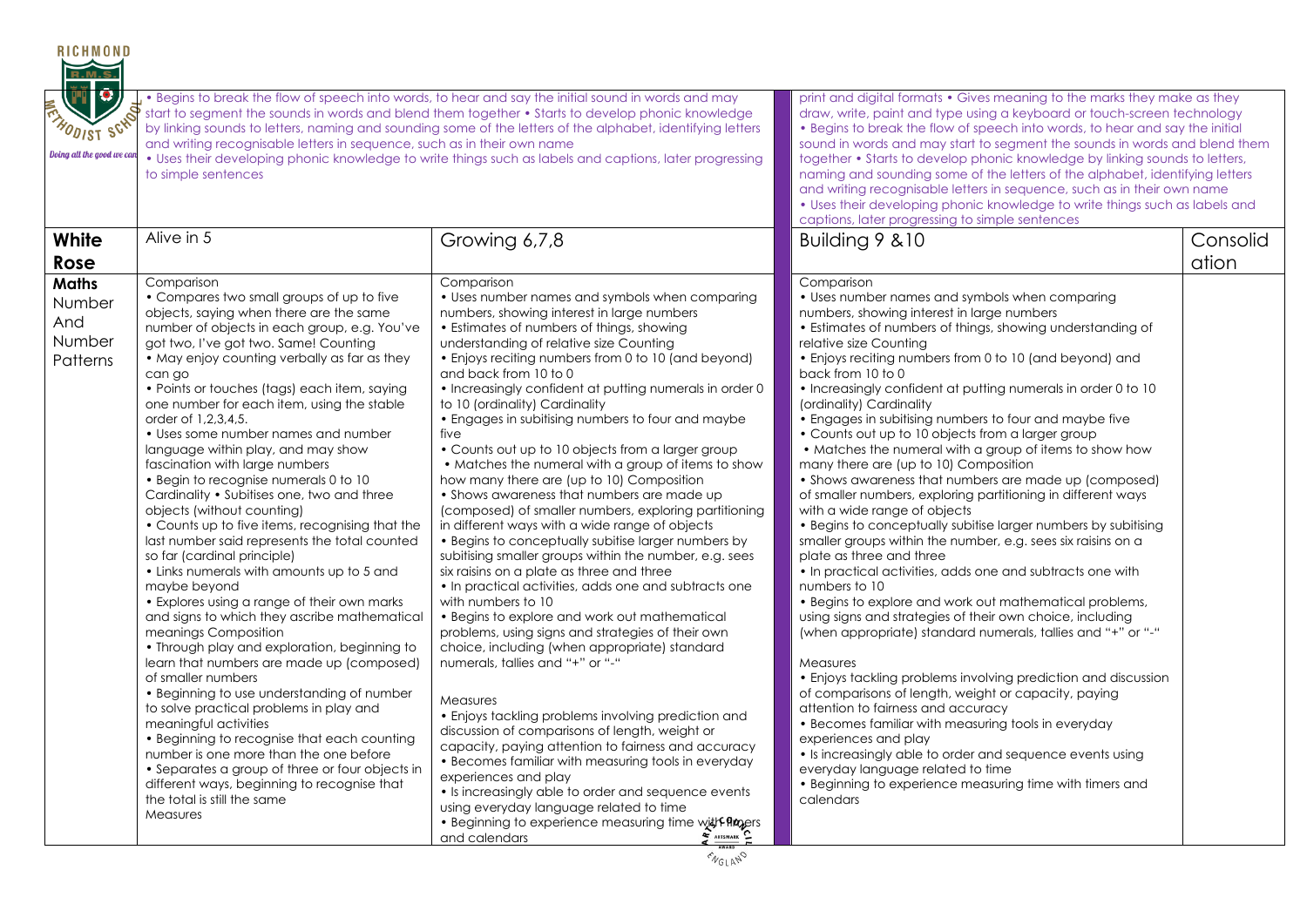| <b>RICHMOND</b><br>FIIC<br><b>FINDDIST SCHOOL</b><br>Doing all the good we can | and writing recognisable letters in sequence, such as in their own name<br>to simple sentences                                                                                                                                                                                                                                                                                                                                                                                                                                                                                                                                                                                                                                                                                                                                                                                                                                                                                                                                                                                                                                                                                                                                                                                                                                                                                                                   | . Begins to break the flow of speech into words, to hear and say the initial sound in words and may<br>start to segment the sounds in words and blend them together • Starts to develop phonic knowledge<br>by linking sounds to letters, naming and sounding some of the letters of the alphabet, identifying letters<br>• Uses their developing phonic knowledge to write things such as labels and captions, later progressing                                                                                                                                                                                                                                                                                                                                                                                                                                                                                                                                                                                                                                                                                                                                                                                                                                                                                                                                                                                                                                                                                                                                                                                                                         | print and digital formats • Gives meaning to the marks they make as they<br>draw, write, paint and type using a keyboard or touch-screen technology<br>• Begins to break the flow of speech into words, to hear and say the initial<br>sound in words and may start to segment the sounds in words and blend them<br>together • Starts to develop phonic knowledge by linking sounds to letters,<br>naming and sounding some of the letters of the alphabet, identifying letters<br>and writing recognisable letters in sequence, such as in their own name<br>. Uses their developing phonic knowledge to write things such as labels and<br>captions, later progressing to simple sentences                                                                                                                                                                                                                                                                                                                                                                                                                                                                                                                                                                                                                                                                                                                                                                                                                                                                                                                                          |                   |  |  |
|--------------------------------------------------------------------------------|------------------------------------------------------------------------------------------------------------------------------------------------------------------------------------------------------------------------------------------------------------------------------------------------------------------------------------------------------------------------------------------------------------------------------------------------------------------------------------------------------------------------------------------------------------------------------------------------------------------------------------------------------------------------------------------------------------------------------------------------------------------------------------------------------------------------------------------------------------------------------------------------------------------------------------------------------------------------------------------------------------------------------------------------------------------------------------------------------------------------------------------------------------------------------------------------------------------------------------------------------------------------------------------------------------------------------------------------------------------------------------------------------------------|-----------------------------------------------------------------------------------------------------------------------------------------------------------------------------------------------------------------------------------------------------------------------------------------------------------------------------------------------------------------------------------------------------------------------------------------------------------------------------------------------------------------------------------------------------------------------------------------------------------------------------------------------------------------------------------------------------------------------------------------------------------------------------------------------------------------------------------------------------------------------------------------------------------------------------------------------------------------------------------------------------------------------------------------------------------------------------------------------------------------------------------------------------------------------------------------------------------------------------------------------------------------------------------------------------------------------------------------------------------------------------------------------------------------------------------------------------------------------------------------------------------------------------------------------------------------------------------------------------------------------------------------------------------|----------------------------------------------------------------------------------------------------------------------------------------------------------------------------------------------------------------------------------------------------------------------------------------------------------------------------------------------------------------------------------------------------------------------------------------------------------------------------------------------------------------------------------------------------------------------------------------------------------------------------------------------------------------------------------------------------------------------------------------------------------------------------------------------------------------------------------------------------------------------------------------------------------------------------------------------------------------------------------------------------------------------------------------------------------------------------------------------------------------------------------------------------------------------------------------------------------------------------------------------------------------------------------------------------------------------------------------------------------------------------------------------------------------------------------------------------------------------------------------------------------------------------------------------------------------------------------------------------------------------------------------|-------------------|--|--|
| White<br>Rose                                                                  | Alive in 5                                                                                                                                                                                                                                                                                                                                                                                                                                                                                                                                                                                                                                                                                                                                                                                                                                                                                                                                                                                                                                                                                                                                                                                                                                                                                                                                                                                                       | Growing 6,7,8                                                                                                                                                                                                                                                                                                                                                                                                                                                                                                                                                                                                                                                                                                                                                                                                                                                                                                                                                                                                                                                                                                                                                                                                                                                                                                                                                                                                                                                                                                                                                                                                                                             | Building 9 & 10                                                                                                                                                                                                                                                                                                                                                                                                                                                                                                                                                                                                                                                                                                                                                                                                                                                                                                                                                                                                                                                                                                                                                                                                                                                                                                                                                                                                                                                                                                                                                                                                                        | Consolid<br>ation |  |  |
| <b>Maths</b><br>Number<br>And<br>Number<br>Patterns                            | Comparison<br>• Compares two small groups of up to five<br>objects, saying when there are the same<br>number of objects in each group, e.g. You've<br>got two, I've got two. Same! Counting<br>• May enjoy counting verbally as far as they<br>can go<br>• Points or touches (tags) each item, saying<br>one number for each item, using the stable<br>order of 1,2,3,4,5.<br>• Uses some number names and number<br>language within play, and may show<br>fascination with large numbers<br>• Begin to recognise numerals 0 to 10<br>Cardinality . Subitises one, two and three<br>objects (without counting)<br>• Counts up to five items, recognising that the<br>last number said represents the total counted<br>so far (cardinal principle)<br>• Links numerals with amounts up to 5 and<br>maybe beyond<br>• Explores using a range of their own marks<br>and signs to which they ascribe mathematical<br>meanings Composition<br>• Through play and exploration, beginning to<br>learn that numbers are made up (composed)<br>of smaller numbers<br>• Beginning to use understanding of number<br>to solve practical problems in play and<br>meaningful activities<br>• Beginning to recognise that each counting<br>number is one more than the one before<br>• Separates a group of three or four objects in<br>different ways, beginning to recognise that<br>the total is still the same<br>Measures | Comparison<br>• Uses number names and symbols when comparing<br>numbers, showing interest in large numbers<br>• Estimates of numbers of things, showing<br>understanding of relative size Counting<br>• Enjoys reciting numbers from 0 to 10 (and beyond)<br>and back from 10 to 0<br>. Increasingly confident at putting numerals in order 0<br>to 10 (ordinality) Cardinality<br>• Engages in subitising numbers to four and maybe<br>five<br>• Counts out up to 10 objects from a larger group<br>• Matches the numeral with a group of items to show<br>how many there are (up to 10) Composition<br>• Shows awareness that numbers are made up<br>(composed) of smaller numbers, exploring partitioning<br>in different ways with a wide range of objects<br>• Begins to conceptually subitise larger numbers by<br>subitising smaller groups within the number, e.g. sees<br>six raisins on a plate as three and three<br>• In practical activities, adds one and subtracts one<br>with numbers to 10<br>• Begins to explore and work out mathematical<br>problems, using signs and strategies of their own<br>choice, including (when appropriate) standard<br>numerals, tallies and "+" or "-"<br><b>Measures</b><br>• Enjoys tackling problems involving prediction and<br>discussion of comparisons of length, weight or<br>capacity, paying attention to fairness and accuracy<br>• Becomes familiar with measuring tools in everyday<br>experiences and play<br>• Is increasingly able to order and sequence events<br>using everyday language related to time<br><b>Beginning to experience measuring time with Propers</b><br>and calendars | Comparison<br>• Uses number names and symbols when comparing<br>numbers, showing interest in large numbers<br>• Estimates of numbers of things, showing understanding of<br>relative size Counting<br>• Enjoys reciting numbers from 0 to 10 (and beyond) and<br>back from 10 to 0<br>• Increasingly confident at putting numerals in order 0 to 10<br>(ordinality) Cardinality<br>• Engages in subitising numbers to four and maybe five<br>• Counts out up to 10 objects from a larger group<br>• Matches the numeral with a group of items to show how<br>many there are (up to 10) Composition<br>• Shows awareness that numbers are made up (composed)<br>of smaller numbers, exploring partitioning in different ways<br>with a wide range of objects<br>• Begins to conceptually subitise larger numbers by subitising<br>smaller groups within the number, e.g. sees six raisins on a<br>plate as three and three<br>• In practical activities, adds one and subtracts one with<br>numbers to 10<br>• Begins to explore and work out mathematical problems,<br>using signs and strategies of their own choice, including<br>(when appropriate) standard numerals, tallies and "+" or "-"<br>Measures<br>• Enjoys tackling problems involving prediction and discussion<br>of comparisons of length, weight or capacity, paying<br>attention to fairness and accuracy<br>• Becomes familiar with measuring tools in everyday<br>experiences and play<br>• Is increasingly able to order and sequence events using<br>everyday language related to time<br>• Beginning to experience measuring time with timers and<br>calendars |                   |  |  |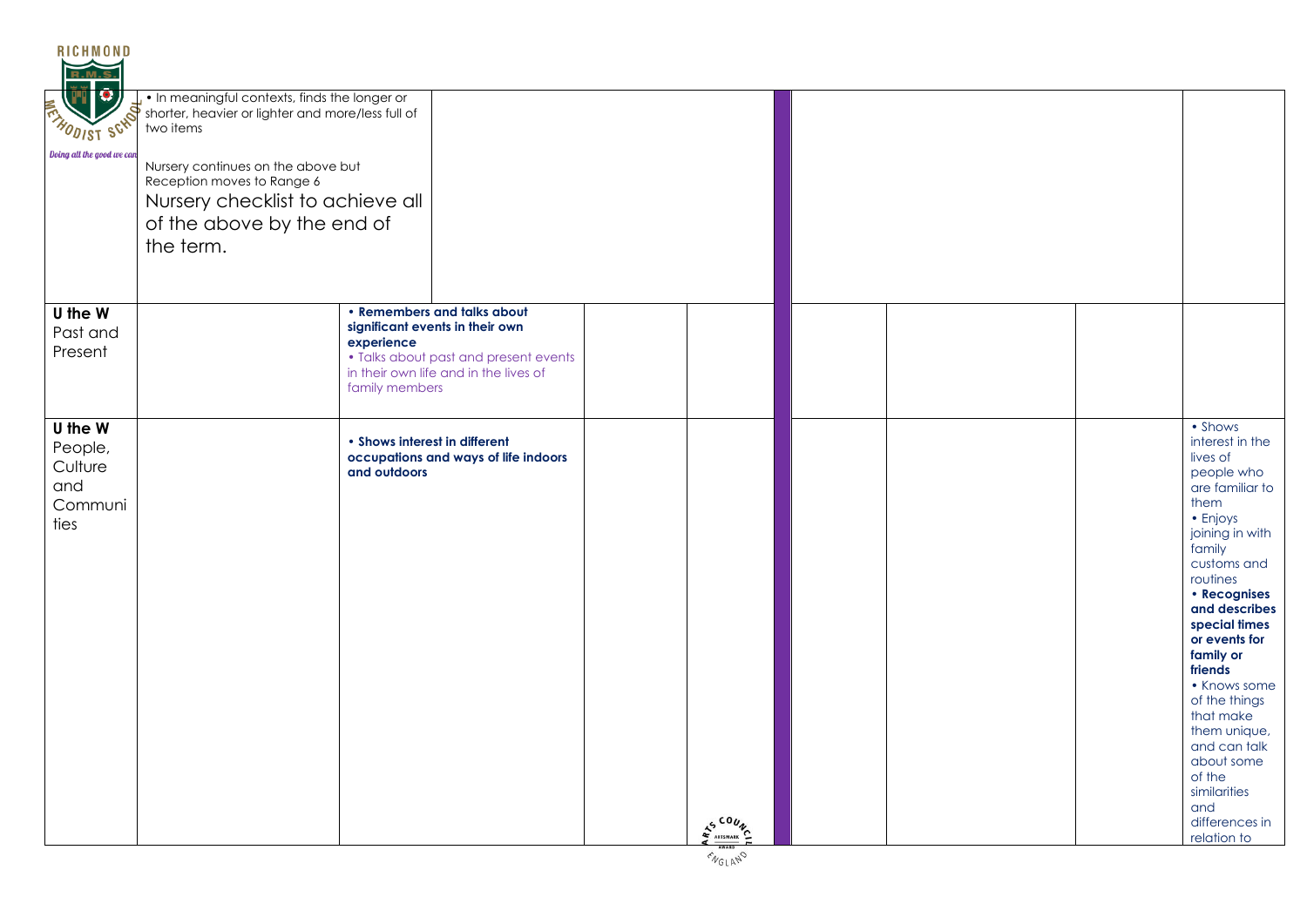| <b>RICHMOND</b><br>R.M                                  |                                                                                                                                                 |                                                                                                                                                                                  |         |  |                                                                                                                                                                                                                                                                                                                                                                                                              |
|---------------------------------------------------------|-------------------------------------------------------------------------------------------------------------------------------------------------|----------------------------------------------------------------------------------------------------------------------------------------------------------------------------------|---------|--|--------------------------------------------------------------------------------------------------------------------------------------------------------------------------------------------------------------------------------------------------------------------------------------------------------------------------------------------------------------------------------------------------------------|
| <b>ANDUIST SCAP</b>                                     | . In meaningful contexts, finds the longer or<br>shorter, heavier or lighter and more/less full of<br>two items                                 |                                                                                                                                                                                  |         |  |                                                                                                                                                                                                                                                                                                                                                                                                              |
| Doing all the good we can                               | Nursery continues on the above but<br>Reception moves to Range 6<br>Nursery checklist to achieve all<br>of the above by the end of<br>the term. |                                                                                                                                                                                  |         |  |                                                                                                                                                                                                                                                                                                                                                                                                              |
| U the W<br>Past and<br>Present                          |                                                                                                                                                 | • Remembers and talks about<br>significant events in their own<br>experience<br>• Talks about past and present events<br>in their own life and in the lives of<br>family members |         |  |                                                                                                                                                                                                                                                                                                                                                                                                              |
| U the W<br>People,<br>Culture<br>and<br>Communi<br>ties |                                                                                                                                                 | • Shows interest in different<br>occupations and ways of life indoors<br>and outdoors                                                                                            | AS COUN |  | • Shows<br>interest in the<br>lives of<br>people who<br>are familiar to<br>them<br>• Enjoys<br>joining in with<br>family<br>customs and<br>routines<br>• Recognises<br>and describes<br>special times<br>or events for<br>family or<br>friends<br>• Knows some<br>of the things<br>that make<br>them unique,<br>and can talk<br>about some<br>of the<br>similarities<br>and<br>differences in<br>relation to |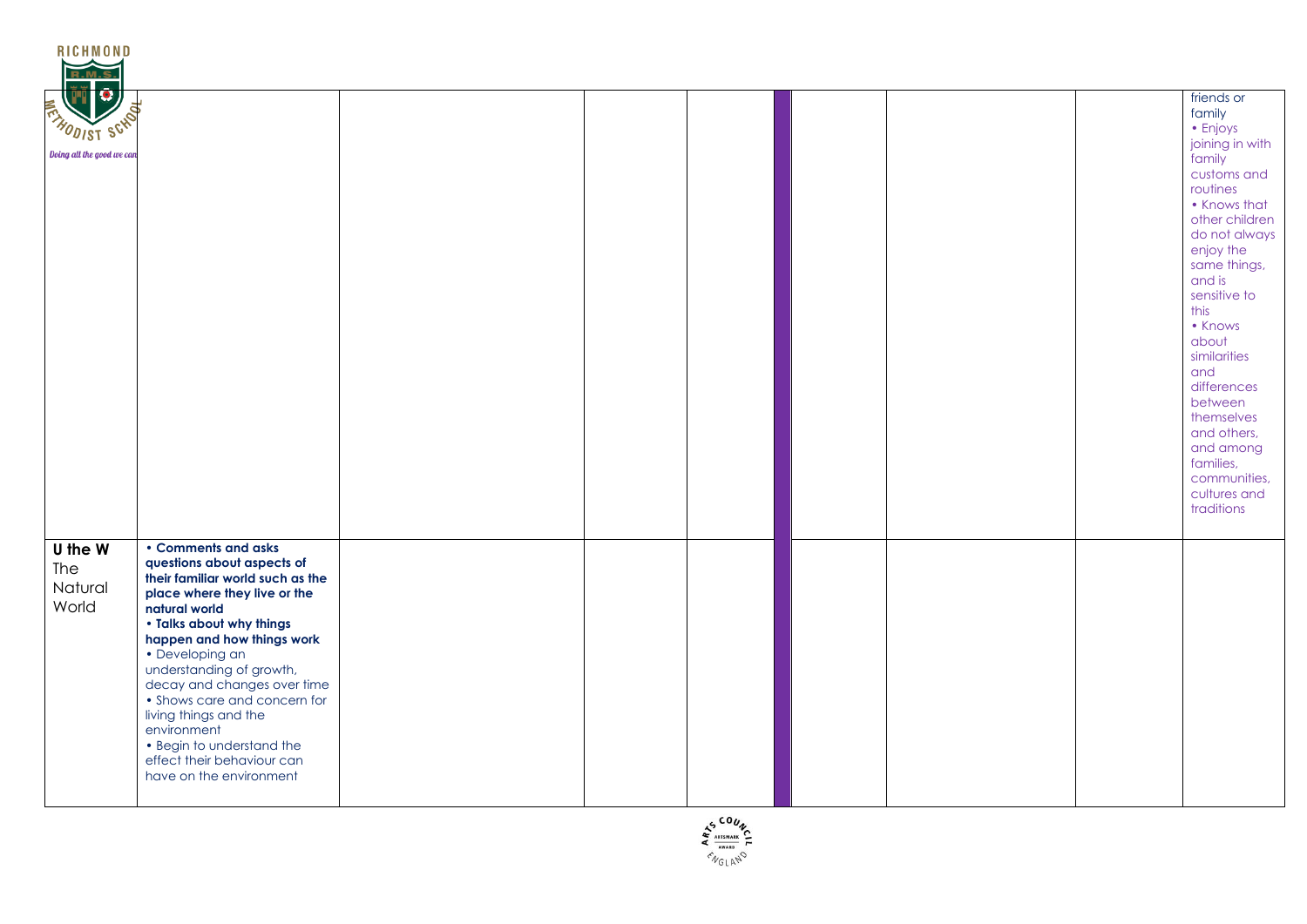| <b>R.M.S</b>                                      |                                                                                                                                                                                                                                                                                                                                                                                                                                              |  |  |  |                                                                                                                                                                                                                                                                                                                                                                                      |
|---------------------------------------------------|----------------------------------------------------------------------------------------------------------------------------------------------------------------------------------------------------------------------------------------------------------------------------------------------------------------------------------------------------------------------------------------------------------------------------------------------|--|--|--|--------------------------------------------------------------------------------------------------------------------------------------------------------------------------------------------------------------------------------------------------------------------------------------------------------------------------------------------------------------------------------------|
| <b>FRANDIST SCKO</b><br>Doing all the good we can |                                                                                                                                                                                                                                                                                                                                                                                                                                              |  |  |  | friends or<br>family<br>• Enjoys<br>joining in with<br>family<br>customs and<br>routines<br>• Knows that<br>other children<br>do not always<br>enjoy the<br>same things,<br>and is<br>sensitive to<br>this<br>• Knows<br>about<br>similarities<br>and<br>differences<br>between<br>themselves<br>and others,<br>and among<br>families,<br>communities,<br>cultures and<br>traditions |
| U the W<br>The<br>Natural<br>World                | • Comments and asks<br>questions about aspects of<br>their familiar world such as the<br>place where they live or the<br>natural world<br>. Talks about why things<br>happen and how things work<br>• Developing an<br>understanding of growth,<br>decay and changes over time<br>• Shows care and concern for<br>living things and the<br>environment<br>• Begin to understand the<br>effect their behaviour can<br>have on the environment |  |  |  |                                                                                                                                                                                                                                                                                                                                                                                      |

**RICHMOND** 

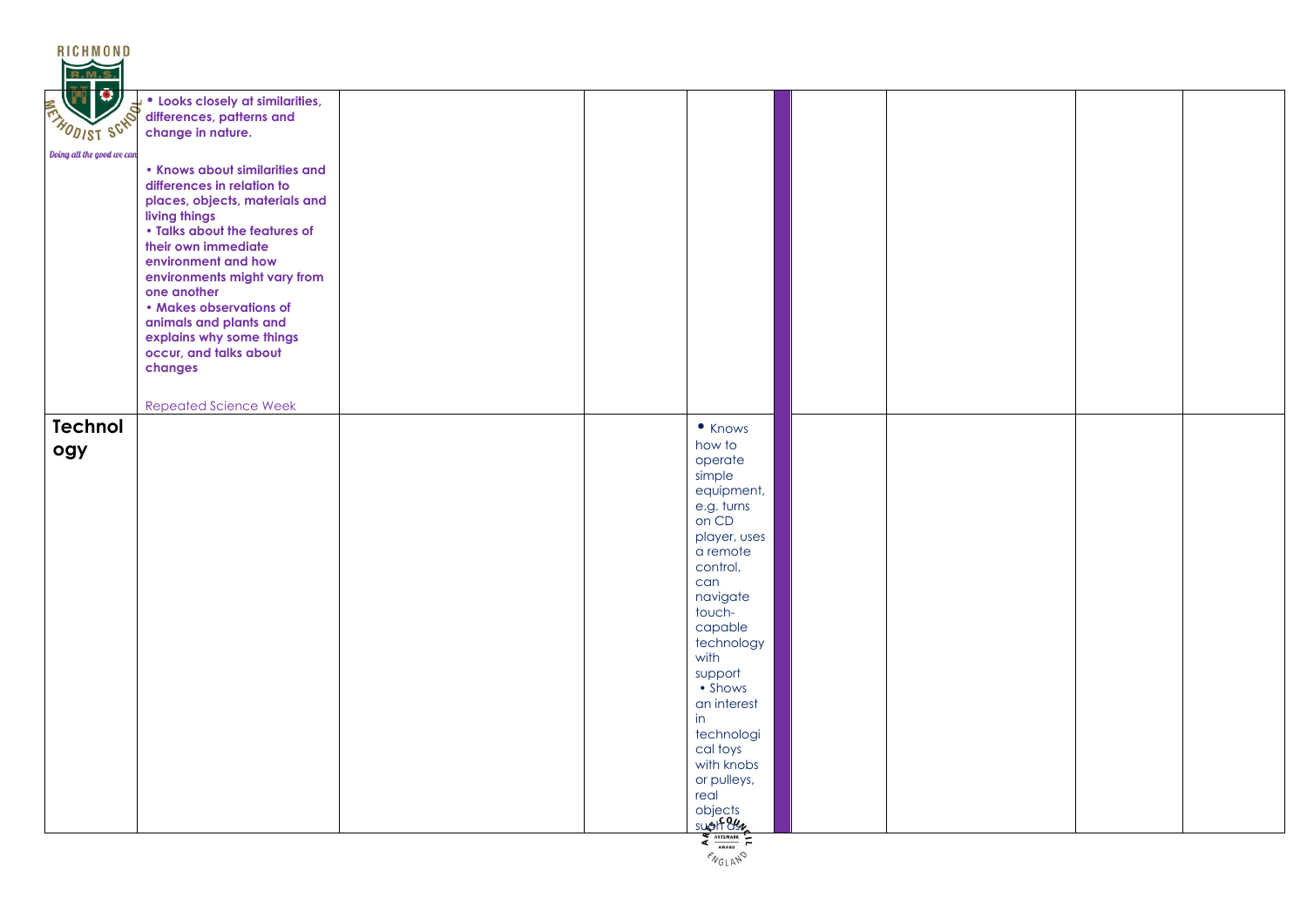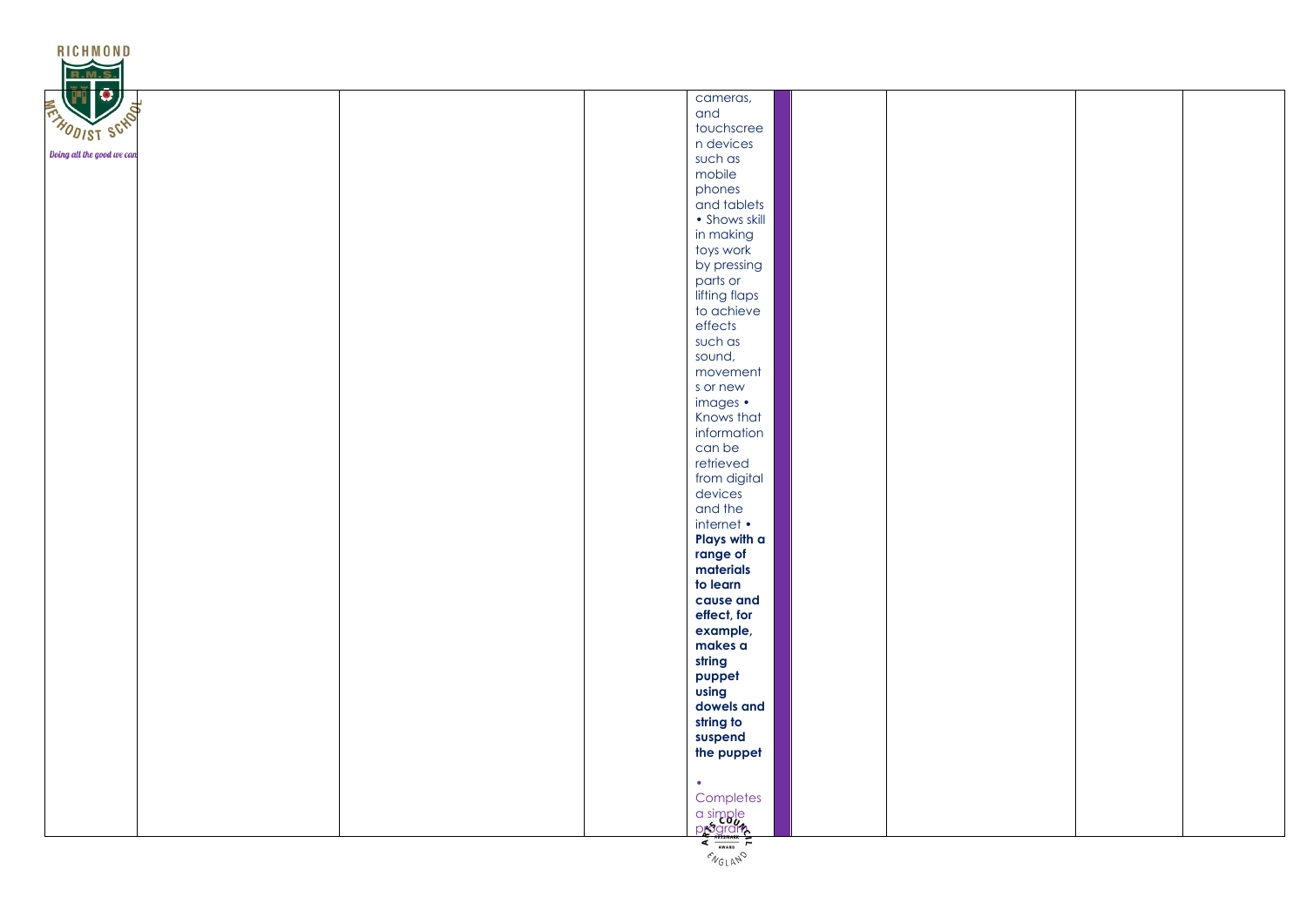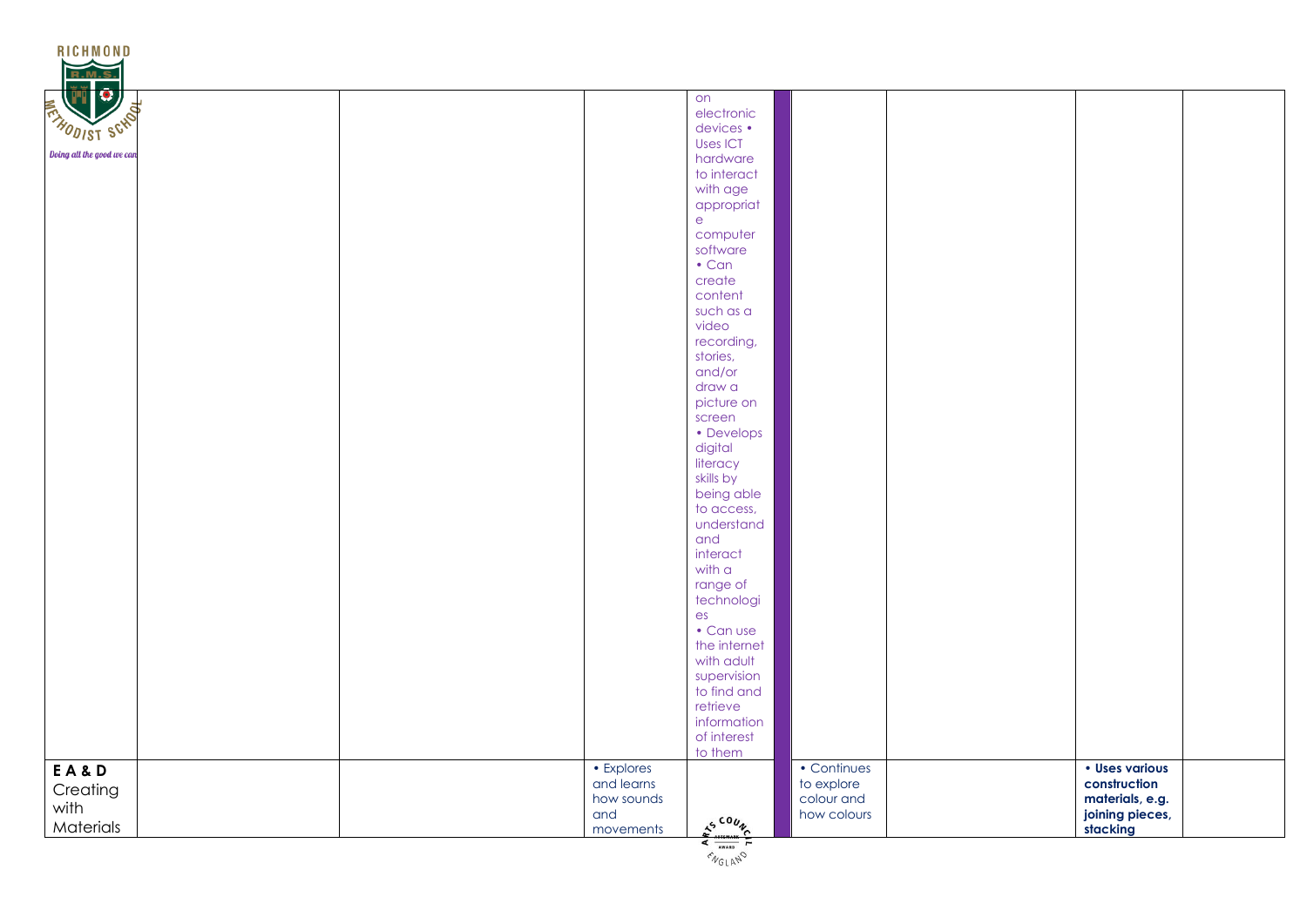| <b>RICHMOND</b>              |                          |                                                                               |                           |                                |  |
|------------------------------|--------------------------|-------------------------------------------------------------------------------|---------------------------|--------------------------------|--|
| 10<br><b>FRANDIST SCHOOL</b> |                          | on<br>electronic<br>devices •                                                 |                           |                                |  |
| Doing all the good we can    |                          | Uses ICT                                                                      |                           |                                |  |
|                              |                          | hardware<br>to interact                                                       |                           |                                |  |
|                              |                          | with age<br>appropriat                                                        |                           |                                |  |
|                              |                          | $\mathsf{e}$<br>computer                                                      |                           |                                |  |
|                              |                          | software<br>$\cdot$ Can                                                       |                           |                                |  |
|                              |                          | create                                                                        |                           |                                |  |
|                              |                          | content<br>such as a                                                          |                           |                                |  |
|                              |                          | video<br>recording,                                                           |                           |                                |  |
|                              |                          | stories,<br>and/or                                                            |                           |                                |  |
|                              |                          | draw a                                                                        |                           |                                |  |
|                              |                          | picture on<br>screen                                                          |                           |                                |  |
|                              |                          | • Develops<br>digital                                                         |                           |                                |  |
|                              |                          | literacy<br>skills by                                                         |                           |                                |  |
|                              |                          | being able<br>to access,                                                      |                           |                                |  |
|                              |                          | understand                                                                    |                           |                                |  |
|                              |                          | and<br>interact                                                               |                           |                                |  |
|                              |                          | with a<br>range of                                                            |                           |                                |  |
|                              |                          | technologi<br>es                                                              |                           |                                |  |
|                              |                          | • Can use<br>the internet                                                     |                           |                                |  |
|                              |                          | with adult                                                                    |                           |                                |  |
|                              |                          | supervision<br>to find and                                                    |                           |                                |  |
|                              |                          | retrieve<br>information                                                       |                           |                                |  |
|                              |                          | of interest<br>to them                                                        |                           |                                |  |
| EA&D                         | • Explores<br>and learns |                                                                               | • Continues<br>to explore | · Uses various<br>construction |  |
| Creating<br>with             | how sounds<br>and        |                                                                               | colour and<br>how colours | materials, e.g.                |  |
| Materials                    | movements                | $s^{500}\%$<br>$\overline{\left( \begin{array}{c} 1 \ 1 \end{array} \right)}$ |                           | joining pieces,<br>stacking    |  |

 $\epsilon_{N_{GLA}N}$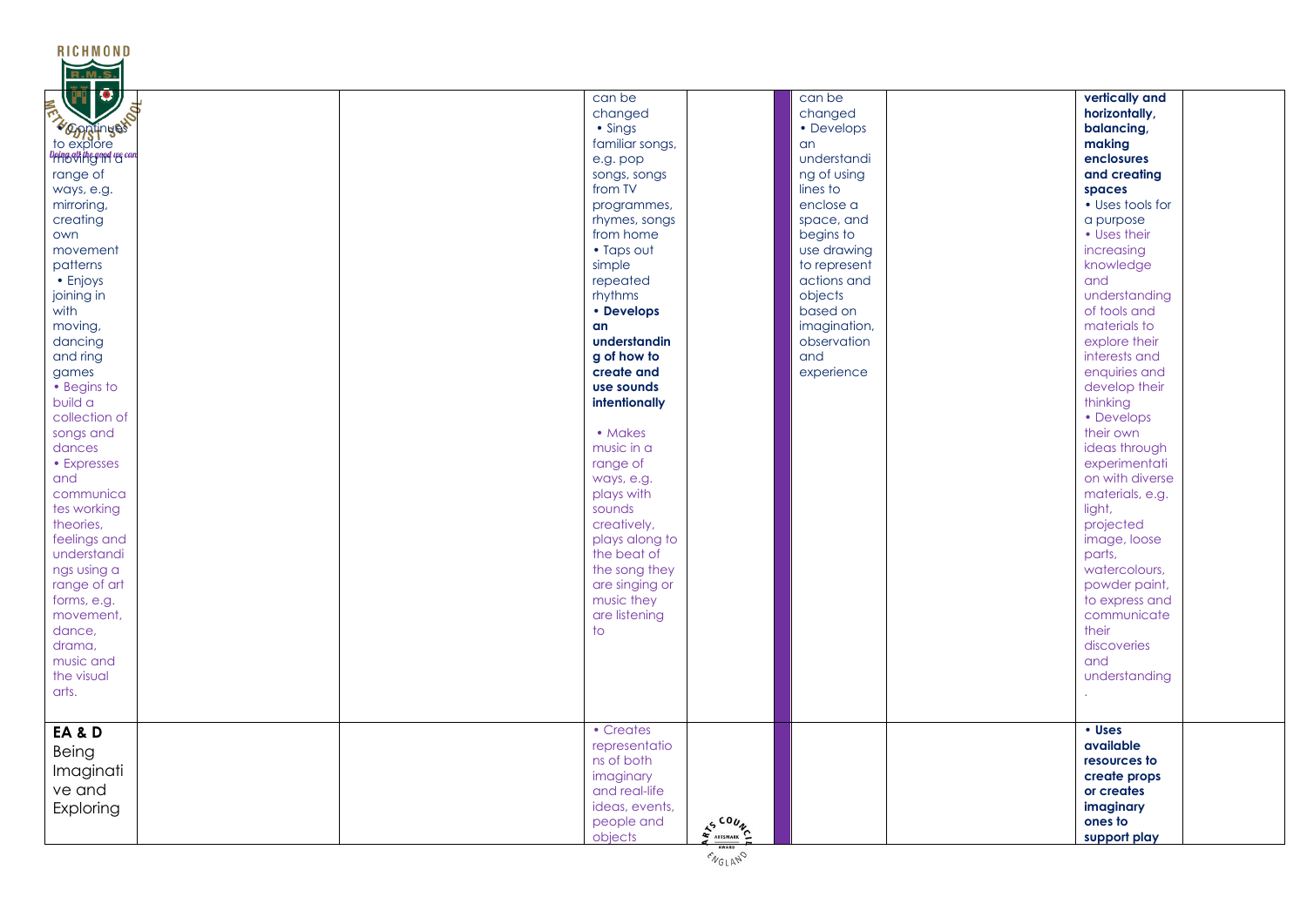| <b>RICHMOND</b><br><b>TI C</b> | can be              | can be       | vertically and                |
|--------------------------------|---------------------|--------------|-------------------------------|
|                                |                     |              |                               |
|                                | changed             | changed      | horizontally,                 |
| <b>Example times</b>           | $\cdot$ Sings       | • Develops   | balancing,                    |
|                                | familiar songs,     | an           | making                        |
| Doing all the good we can      | e.g. pop            | understandi  | enclosures                    |
| range of                       | songs, songs        | ng of using  | and creating                  |
| ways, e.g.                     | from TV             | lines to     | spaces                        |
| mirroring,                     | programmes,         | enclose a    | • Uses tools for              |
| creating                       | rhymes, songs       | space, and   | a purpose                     |
| own                            | from home           | begins to    | • Uses their                  |
| movement                       | • Taps out          | use drawing  | increasing                    |
| patterns                       | simple              | to represent | knowledge                     |
| • Enjoys                       | repeated            | actions and  | and                           |
| joining in                     | rhythms             | objects      | understanding                 |
| with                           | • Develops          | based on     | of tools and                  |
| moving,                        | an                  | imagination, | materials to                  |
| dancing                        | understandin        | observation  | explore their                 |
|                                | g of how to         | and          | interests and                 |
| and ring                       |                     |              |                               |
| games                          | create and          | experience   | enquiries and                 |
| • Begins to                    | use sounds          |              | develop their                 |
| build a                        | intentionally       |              | thinking                      |
| collection of                  |                     |              | • Develops                    |
| songs and                      | • Makes             |              | their own                     |
| dances                         | music in a          |              | ideas through                 |
| • Expresses                    | range of            |              | experimentati                 |
| and                            | ways, e.g.          |              | on with diverse               |
| communica                      | plays with          |              | materials, e.g.               |
| tes working                    | sounds              |              | light,                        |
| theories,                      | creatively,         |              | projected                     |
| feelings and                   | plays along to      |              | image, loose                  |
| understandi                    | the beat of         |              | parts,                        |
| ngs using a                    | the song they       |              | watercolours,                 |
| range of art                   | are singing or      |              | powder paint,                 |
|                                | music they          |              |                               |
| forms, e.g.                    |                     |              | to express and<br>communicate |
| movement,                      | are listening<br>to |              |                               |
| dance,                         |                     |              | their                         |
| drama,                         |                     |              | discoveries                   |
| music and                      |                     |              | and                           |
| the visual                     |                     |              | understanding                 |
| arts.                          |                     |              |                               |
|                                |                     |              |                               |
| EA&D                           | • Creates           |              | • Uses                        |
|                                | representatio       |              | available                     |
| Being                          | ns of both          |              | resources to                  |
| Imaginati                      | imaginary           |              | create props                  |
| ve and                         | and real-life       |              | or creates                    |
| Exploring                      | ideas, events,      |              | imaginary                     |
|                                | people and          |              | ones to                       |
|                                | AS COUN<br>objects  |              | support play                  |
|                                |                     |              |                               |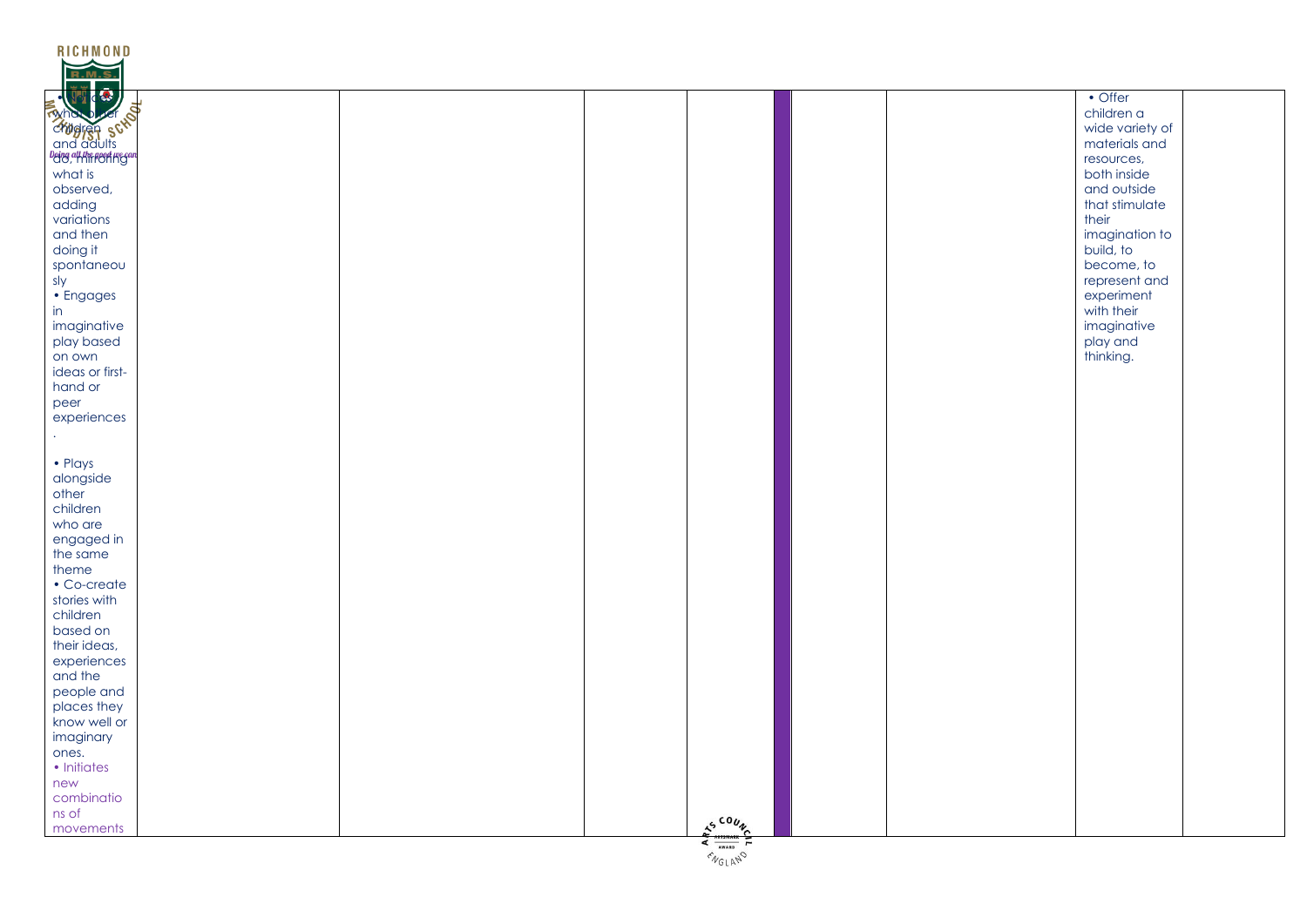| RICHMOND        |  |                                                        |  |                 |  |
|-----------------|--|--------------------------------------------------------|--|-----------------|--|
| <b>R.M.S</b>    |  |                                                        |  |                 |  |
|                 |  |                                                        |  | $\bullet$ Offer |  |
| EMPLOYED SCRIBE |  |                                                        |  | children a      |  |
|                 |  |                                                        |  |                 |  |
|                 |  |                                                        |  | wide variety of |  |
|                 |  |                                                        |  | materials and   |  |
|                 |  |                                                        |  | resources,      |  |
| what is         |  |                                                        |  | both inside     |  |
| observed,       |  |                                                        |  | and outside     |  |
| adding          |  |                                                        |  | that stimulate  |  |
| variations      |  |                                                        |  | their           |  |
| and then        |  |                                                        |  | imagination to  |  |
| doing it        |  |                                                        |  | build, to       |  |
| spontaneou      |  |                                                        |  | become, to      |  |
| sly             |  |                                                        |  | represent and   |  |
| · Engages       |  |                                                        |  | experiment      |  |
| in              |  |                                                        |  | with their      |  |
| imaginative     |  |                                                        |  | imaginative     |  |
| play based      |  |                                                        |  | play and        |  |
| on own          |  |                                                        |  | thinking.       |  |
| ideas or first- |  |                                                        |  |                 |  |
| hand or         |  |                                                        |  |                 |  |
|                 |  |                                                        |  |                 |  |
| peer            |  |                                                        |  |                 |  |
| experiences     |  |                                                        |  |                 |  |
|                 |  |                                                        |  |                 |  |
|                 |  |                                                        |  |                 |  |
| • Plays         |  |                                                        |  |                 |  |
| alongside       |  |                                                        |  |                 |  |
| other           |  |                                                        |  |                 |  |
| children        |  |                                                        |  |                 |  |
| who are         |  |                                                        |  |                 |  |
| engaged in      |  |                                                        |  |                 |  |
| the same        |  |                                                        |  |                 |  |
| theme           |  |                                                        |  |                 |  |
| • Co-create     |  |                                                        |  |                 |  |
| stories with    |  |                                                        |  |                 |  |
| children        |  |                                                        |  |                 |  |
| based on        |  |                                                        |  |                 |  |
| their ideas,    |  |                                                        |  |                 |  |
| experiences     |  |                                                        |  |                 |  |
| and the         |  |                                                        |  |                 |  |
| people and      |  |                                                        |  |                 |  |
| places they     |  |                                                        |  |                 |  |
|                 |  |                                                        |  |                 |  |
| know well or    |  |                                                        |  |                 |  |
| imaginary       |  |                                                        |  |                 |  |
| ones.           |  |                                                        |  |                 |  |
| • Initiates     |  |                                                        |  |                 |  |
| new             |  |                                                        |  |                 |  |
| combinatio      |  |                                                        |  |                 |  |
| ns of           |  |                                                        |  |                 |  |
| movements       |  | $\frac{2^{5}}{4} \frac{100 \text{ m}}{1000 \text{ m}}$ |  |                 |  |
|                 |  |                                                        |  |                 |  |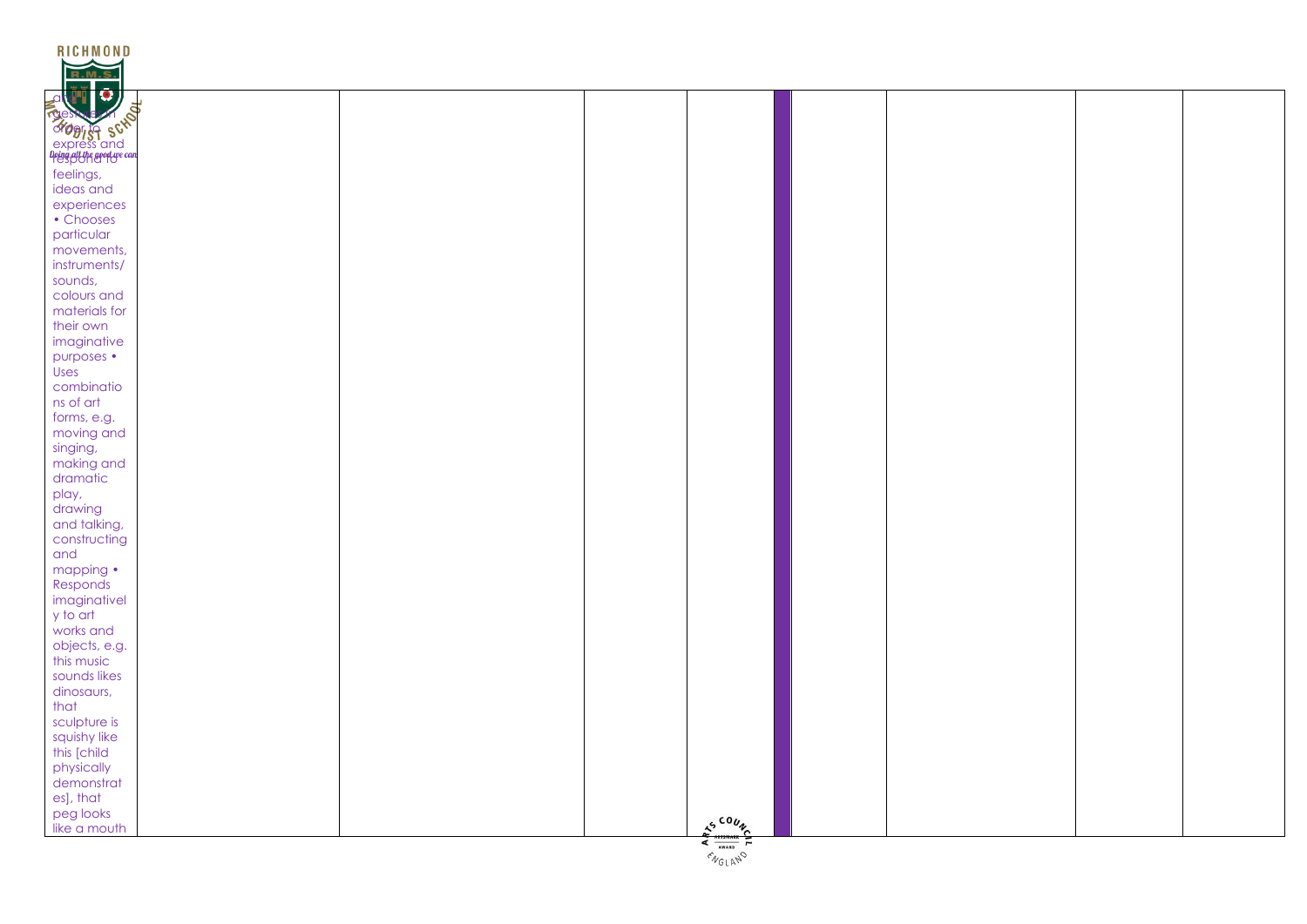